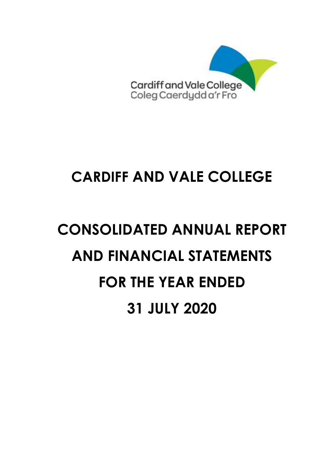

# **CONSOLIDATED ANNUAL REPORT AND FINANCIAL STATEMENTS FOR THE YEAR ENDED 31 JULY 2020**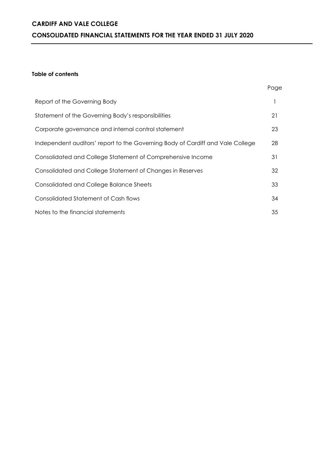### **CARDIFF AND VALE COLLEGE CONSOLIDATED FINANCIAL STATEMENTS FOR THE YEAR ENDED 31 JULY 2020**

### **Table of contents**

|                                                                                | Page |
|--------------------------------------------------------------------------------|------|
| Report of the Governing Body                                                   |      |
| Statement of the Governing Body's responsibilities                             | 21   |
| Corporate governance and internal control statement                            | 23   |
| Independent auditors' report to the Governing Body of Cardiff and Vale College | 28   |
| Consolidated and College Statement of Comprehensive Income                     | 31   |
| Consolidated and College Statement of Changes in Reserves                      | 32   |
| <b>Consolidated and College Balance Sheets</b>                                 | 33   |
| Consolidated Statement of Cash flows                                           | 34   |
| Notes to the financial statements                                              | 35   |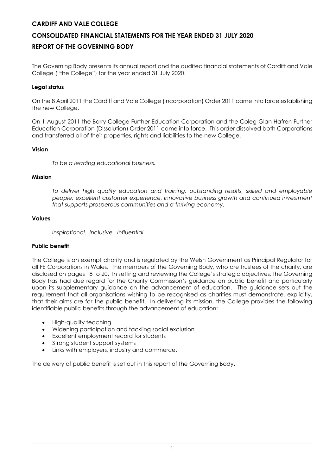### **CONSOLIDATED FINANCIAL STATEMENTS FOR THE YEAR ENDED 31 JULY 2020**

### **REPORT OF THE GOVERNING BODY**

The Governing Body presents its annual report and the audited financial statements of Cardiff and Vale College ("the College") for the year ended 31 July 2020.

### **Legal status**

On the 8 April 2011 the Cardiff and Vale College (Incorporation) Order 2011 came into force establishing the new College.

On 1 August 2011 the Barry College Further Education Corporation and the Coleg Glan Hafren Further Education Corporation (Dissolution) Order 2011 came into force. This order dissolved both Corporations and transferred all of their properties, rights and liabilities to the new College.

### **Vision**

*To be a leading educational business.*

### **Mission**

*To deliver high quality education and training, outstanding results, skilled and employable people, excellent customer experience, innovative business growth and continued investment that supports prosperous communities and a thriving economy.*

### **Values**

*Inspirational. Inclusive. Influential.*

### **Public benefit**

The College is an exempt charity and is regulated by the Welsh Government as Principal Regulator for all FE Corporations in Wales. The members of the Governing Body, who are trustees of the charity, are disclosed on pages 18 to 20. In setting and reviewing the College's strategic objectives, the Governing Body has had due regard for the Charity Commission's guidance on public benefit and particularly upon its supplementary guidance on the advancement of education. The guidance sets out the requirement that all organisations wishing to be recognised as charities must demonstrate, explicitly, that their aims are for the public benefit. In delivering its mission, the College provides the following identifiable public benefits through the advancement of education:

- High-quality teaching
- Widening participation and tackling social exclusion
- Excellent employment record for students
- Strong student support systems
- Links with employers, industry and commerce.

The delivery of public benefit is set out in this report of the Governing Body.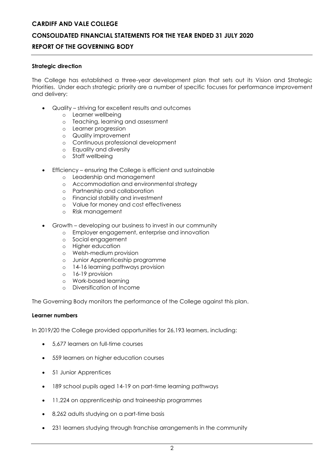### **CONSOLIDATED FINANCIAL STATEMENTS FOR THE YEAR ENDED 31 JULY 2020**

### **REPORT OF THE GOVERNING BODY**

### **Strategic direction**

The College has established a three-year development plan that sets out its Vision and Strategic Priorities. Under each strategic priority are a number of specific focuses for performance improvement and delivery:

- Quality striving for excellent results and outcomes
	- o Learner wellbeing
	- o Teaching, learning and assessment
	- o Learner progression
	- o Quality improvement
	- o Continuous professional development
	- o Equality and diversity
	- o Staff wellbeing
- Efficiency ensuring the College is efficient and sustainable
	- o Leadership and management
	- o Accommodation and environmental strategy
	- o Partnership and collaboration
	- o Financial stability and investment
	- o Value for money and cost effectiveness
	- o Risk management
- Growth developing our business to invest in our community
	- o Employer engagement, enterprise and innovation
	- o Social engagement
	- o Higher education
	- o Welsh-medium provision
	- o Junior Apprenticeship programme
	- o 14-16 learning pathways provision
	- o 16-19 provision
	- o Work-based learning
	- o Diversification of Income

The Governing Body monitors the performance of the College against this plan.

### **Learner numbers**

In 2019/20 the College provided opportunities for 26,193 learners, including:

- 5,677 learners on full-time courses
- 559 learners on higher education courses
- 51 Junior Apprentices
- 189 school pupils aged 14-19 on part-time learning pathways
- 11,224 on apprenticeship and traineeship programmes
- 8,262 adults studying on a part-time basis
- 231 learners studying through franchise arrangements in the community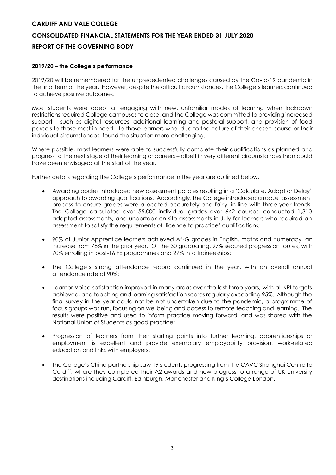### **2019/20 – the College's performance**

2019/20 will be remembered for the unprecedented challenges caused by the Covid-19 pandemic in the final term of the year. However, despite the difficult circumstances, the College's learners continued to achieve positive outcomes.

Most students were adept at engaging with new, unfamiliar modes of learning when lockdown restrictions required College campuses to close, and the College was committed to providing increased support – such as digital resources, additional learning and pastoral support, and provision of food parcels to those most in need - to those learners who, due to the nature of their chosen course or their individual circumstances, found the situation more challenging.

Where possible, most learners were able to successfully complete their qualifications as planned and progress to the next stage of their learning or careers – albeit in very different circumstances than could have been envisaged at the start of the year.

Further details regarding the College's performance in the year are outlined below.

- Awarding bodies introduced new assessment policies resulting in a 'Calculate, Adapt or Delay' approach to awarding qualifications. Accordingly, the College introduced a robust assessment process to ensure grades were allocated accurately and fairly, in line with three-year trends. The College calculated over 55,000 individual grades over 642 courses, conducted 1,310 adapted assessments, and undertook on-site assessments in July for learners who required an assessment to satisfy the requirements of 'licence to practice' qualifications;
- 90% of Junior Apprentice learners achieved A\*-G grades in English, maths and numeracy, an increase from 78% in the prior year. Of the 30 graduating, 97% secured progression routes, with 70% enrolling in post-16 FE programmes and 27% into traineeships;
- The College's strong attendance record continued in the year, with an overall annual attendance rate of 90%;
- Learner Voice satisfaction improved in many areas over the last three years, with all KPI targets achieved, and teaching and learning satisfaction scores regularly exceeding 95%. Although the final survey in the year could not be not undertaken due to the pandemic, a programme of focus groups was run, focusing on wellbeing and access to remote teaching and learning. The results were positive and used to inform practice moving forward, and was shared with the National Union of Students as good practice;
- Progression of learners from their starting points into further learning, apprenticeships or employment is excellent and provide exemplary employability provision, work-related education and links with employers;
- The College's China partnership saw 19 students progressing from the CAVC Shanghai Centre to Cardiff, where they completed their A2 awards and now progress to a range of UK University destinations including Cardiff, Edinburgh, Manchester and King's College London.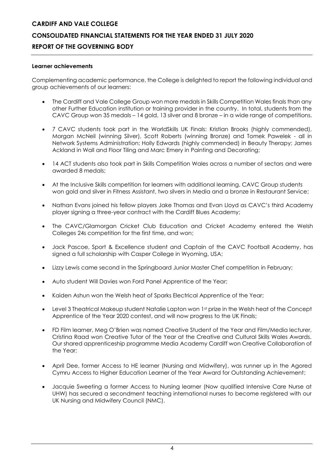### **Learner achievements**

Complementing academic performance, the College is delighted to report the following individual and group achievements of our learners:

- The Cardiff and Vale College Group won more medals in Skills Competition Wales finals than any other Further Education institution or training provider in the country. In total, students from the CAVC Group won 35 medals – 14 gold, 13 silver and 8 bronze – in a wide range of competitions.
- 7 CAVC students took part in the WorldSkills UK Finals: Kristian Brooks (highly commended), Morgan McNeil (winning Silver), Scott Roberts (winning Bronze) and Tomek Pawelek - all in Network Systems Administration; Holly Edwards (highly commended) in Beauty Therapy; James Ackland in Wall and Floor Tiling and Marc Emery in Painting and Decorating;
- 14 ACT students also took part in Skills Competition Wales across a number of sectors and were awarded 8 medals;
- At the Inclusive Skills competition for learners with additional learning, CAVC Group students won gold and silver in Fitness Assistant, two silvers in Media and a bronze in Restaurant Service;
- Nathan Evans joined his fellow players Jake Thomas and Evan Lloyd as CAVC's third Academy player signing a three-year contract with the Cardiff Blues Academy;
- The CAVC/Glamorgan Cricket Club Education and Cricket Academy entered the Welsh Colleges 24s competition for the first time, and won;
- Jack Pascoe, Sport & Excellence student and Captain of the CAVC Football Academy, has signed a full scholarship with Casper College in Wyoming, USA;
- Lizzy Lewis came second in the Springboard Junior Master Chef competition in February;
- Auto student Will Davies won Ford Panel Apprentice of the Year;
- Kaiden Ashun won the Welsh heat of Sparks Electrical Apprentice of the Year;
- Level 3 Theatrical Makeup student Natalie Lapton won 1st prize in the Welsh heat of the Concept Apprentice of the Year 2020 contest, and will now progress to the UK Finals;
- FD Film learner, Meg O'Brien was named Creative Student of the Year and Film/Media lecturer, Cristina Raad won Creative Tutor of the Year at the Creative and Cultural Skills Wales Awards. Our shared apprenticeship programme Media Academy Cardiff won Creative Collaboration of the Year;
- April Dee, former Access to HE learner (Nursing and Midwifery), was runner up in the Agored Cymru Access to Higher Education Learner of the Year Award for Outstanding Achievement;
- Jacquie Sweeting a former Access to Nursing learner (Now qualified Intensive Care Nurse at UHW) has secured a secondment teaching international nurses to become registered with our UK Nursing and Midwifery Council (NMC).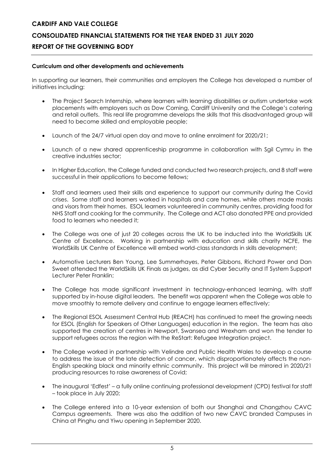### **Curriculum and other developments and achievements**

In supporting our learners, their communities and employers the College has developed a number of initiatives including:

- The Project Search Internship, where learners with learning disabilities or autism undertake work placements with employers such as Dow Corning, Cardiff University and the College's catering and retail outlets. This real life programme develops the skills that this disadvantaged group will need to become skilled and employable people;
- Launch of the 24/7 virtual open day and move to online enrolment for 2020/21;
- Launch of a new shared apprenticeship programme in collaboration with Sgil Cymru in the creative industries sector;
- In Higher Education, the College funded and conducted two research projects, and 8 staff were successful in their applications to become fellows;
- Staff and learners used their skills and experience to support our community during the Covid crises. Some staff and learners worked in hospitals and care homes, while others made masks and visors from their homes. ESOL learners volunteered in community centres, providing food for NHS Staff and cooking for the community. The College and ACT also donated PPE and provided food to learners who needed it;
- The College was one of just 20 colleges across the UK to be inducted into the WorldSkills UK Centre of Excellence. Working in partnership with education and skills charity NCFE, the WorldSkills UK Centre of Excellence will embed world-class standards in skills development;
- Automotive Lecturers Ben Young, Lee Summerhayes, Peter Gibbons, Richard Power and Dan Sweet attended the WorldSkills UK Finals as judges, as did Cyber Security and IT System Support Lecturer Peter Franklin;
- The College has made significant investment in technology-enhanced learning, with staff supported by in-house digital leaders. The benefit was apparent when the College was able to move smoothly to remote delivery and continue to engage learners effectively;
- The Regional ESOL Assessment Central Hub (REACH) has continued to meet the growing needs for ESOL (English for Speakers of Other Languages) education in the region. The team has also supported the creation of centres in Newport, Swansea and Wrexham and won the tender to support refugees across the region with the ReStart: Refugee Integration project.
- The College worked in partnership with Velindre and Public Health Wales to develop a course to address the issue of the late detection of cancer, which disproportionately affects the non-English speaking black and minority ethnic community. This project will be mirrored in 2020/21 producing resources to raise awareness of Covid;
- The inaugural 'Edfest' a fully online continuing professional development (CPD) festival for staff – took place in July 2020;
- The College entered into a 10-year extension of both our Shanghai and Changzhou CAVC Campus agreements. There was also the addition of two new CAVC branded Campuses in China at Pinghu and Yiwu opening in September 2020.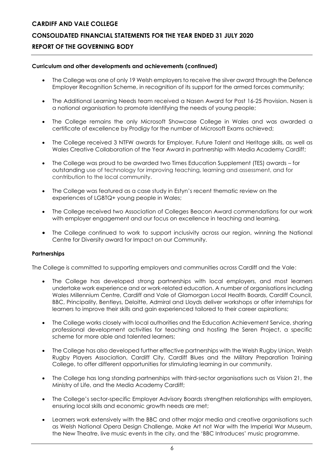### **CONSOLIDATED FINANCIAL STATEMENTS FOR THE YEAR ENDED 31 JULY 2020**

### **REPORT OF THE GOVERNING BODY**

### **Curriculum and other developments and achievements (continued)**

- The College was one of only 19 Welsh employers to receive the silver award through the Defence Employer Recognition Scheme, in recognition of its support for the armed forces community;
- The Additional Learning Needs team received a Nasen Award for Post 16-25 Provision. Nasen is a national organisation to promote identifying the needs of young people;
- The College remains the only Microsoft Showcase College in Wales and was awarded a certificate of excellence by Prodigy for the number of Microsoft Exams achieved;
- The College received 3 NTFW awards for Employer, Future Talent and Heritage skills, as well as Wales Creative Collaboration of the Year Award in partnership with Media Academy Cardiff;
- The College was proud to be awarded two Times Education Supplement (TES) awards for outstanding use of technology for improving teaching, learning and assessment, and for contribution to the local community.
- The College was featured as a case study in Estyn's recent thematic review on the experiences of LGBTQ+ young people in Wales;
- The College received two Association of Colleges Beacon Award commendations for our work with employer engagement and our focus on excellence in teaching and learning.
- The College continued to work to support inclusivity across our region, winning the National Centre for Diversity award for Impact on our Community.

### **Partnerships**

The College is committed to supporting employers and communities across Cardiff and the Vale:

- The College has developed strong partnerships with local employers, and most learners undertake work experience and or work-related education. A number of organisations including Wales Millennium Centre, Cardiff and Vale of Glamorgan Local Health Boards, Cardiff Council, BBC, Principality, Bentleys, Deloitte, Admiral and Lloyds deliver workshops or offer internships for learners to improve their skills and gain experienced tailored to their career aspirations;
- The College works closely with local authorities and the Education Achievement Service, sharing professional development activities for teaching and hosting the Seren Project, a specific scheme for more able and talented learners;
- The College has also developed further effective partnerships with the Welsh Rugby Union, Welsh Rugby Players Association, Cardiff City, Cardiff Blues and the Military Preparation Training College, to offer different opportunities for stimulating learning in our community.
- The College has long standing partnerships with third-sector organisations such as Vision 21, the Ministry of Life, and the Media Academy Cardiff;
- The College's sector-specific Employer Advisory Boards strengthen relationships with employers, ensuring local skills and economic growth needs are met;
- Learners work extensively with the BBC and other major media and creative organisations such as Welsh National Opera Design Challenge, Make Art not War with the Imperial War Museum, the New Theatre, live music events in the city, and the 'BBC Introduces' music programme.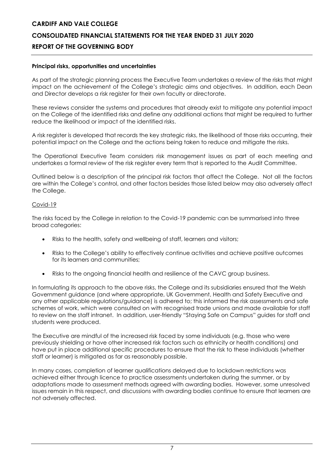### **Principal risks, opportunities and uncertainties**

As part of the strategic planning process the Executive Team undertakes a review of the risks that might impact on the achievement of the College's strategic aims and objectives. In addition, each Dean and Director develops a risk register for their own faculty or directorate.

These reviews consider the systems and procedures that already exist to mitigate any potential impact on the College of the identified risks and define any additional actions that might be required to further reduce the likelihood or impact of the identified risks.

A risk register is developed that records the key strategic risks, the likelihood of those risks occurring, their potential impact on the College and the actions being taken to reduce and mitigate the risks.

The Operational Executive Team considers risk management issues as part of each meeting and undertakes a formal review of the risk register every term that is reported to the Audit Committee.

Outlined below is a description of the principal risk factors that affect the College. Not all the factors are within the College's control, and other factors besides those listed below may also adversely affect the College.

### Covid-19

The risks faced by the College in relation to the Covid-19 pandemic can be summarised into three broad categories:

- Risks to the health, safety and wellbeing of staff, learners and visitors;
- Risks to the College's ability to effectively continue activities and achieve positive outcomes for its learners and communities;
- Risks to the ongoing financial health and resilience of the CAVC group business.

In formulating its approach to the above risks, the College and its subsidiaries ensured that the Welsh Government guidance (and where appropriate, UK Government, Health and Safety Executive and any other applicable regulations/guidance) is adhered to; this informed the risk assessments and safe schemes of work, which were consulted on with recognised trade unions and made available for staff to review on the staff intranet. In addition, user-friendly "Staying Safe on Campus" guides for staff and students were produced.

The Executive are mindful of the increased risk faced by some individuals (e.g. those who were previously shielding or have other increased risk factors such as ethnicity or health conditions) and have put in place additional specific procedures to ensure that the risk to these individuals (whether staff or learner) is mitigated as far as reasonably possible.

In many cases, completion of learner qualifications delayed due to lockdown restrictions was achieved either through licence to practice assessments undertaken during the summer, or by adaptations made to assessment methods agreed with awarding bodies. However, some unresolved issues remain in this respect, and discussions with awarding bodies continue to ensure that learners are not adversely affected.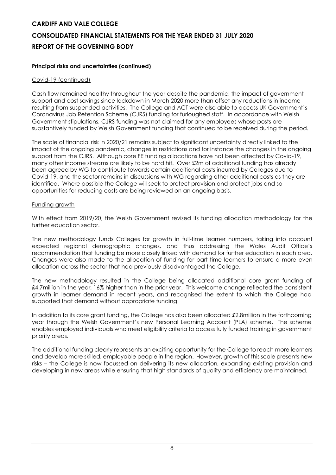### **Principal risks and uncertainties (continued)**

### Covid-19 (continued)

Cash flow remained healthy throughout the year despite the pandemic; the impact of government support and cost savings since lockdown in March 2020 more than offset any reductions in income resulting from suspended activities. The College and ACT were also able to access UK Government's Coronavirus Job Retention Scheme (CJRS) funding for furloughed staff. In accordance with Welsh Government stipulations, CJRS funding was not claimed for any employees whose posts are substantively funded by Welsh Government funding that continued to be received during the period.

The scale of financial risk in 2020/21 remains subject to significant uncertainty directly linked to the impact of the ongoing pandemic, changes in restrictions and for instance the changes in the ongoing support from the CJRS. Although core FE funding allocations have not been affected by Covid-19, many other income streams are likely to be hard hit. Over £2m of additional funding has already been agreed by WG to contribute towards certain additional costs incurred by Colleges due to Covid-19, and the sector remains in discussions with WG regarding other additional costs as they are identified. Where possible the College will seek to protect provision and protect jobs and so opportunities for reducing costs are being reviewed on an ongoing basis.

### Funding growth

With effect from 2019/20, the Welsh Government revised its funding allocation methodology for the further education sector.

The new methodology funds Colleges for growth in full-time learner numbers, taking into account expected regional demographic changes, and thus addressing the Wales Audit Office's recommendation that funding be more closely linked with demand for further education in each area. Changes were also made to the allocation of funding for part-time learners to ensure a more even allocation across the sector that had previously disadvantaged the College.

The new methodology resulted in the College being allocated additional core grant funding of £4.7million in the year, 16% higher than in the prior year. This welcome change reflected the consistent growth in learner demand in recent years, and recognised the extent to which the College had supported that demand without appropriate funding.

In addition to its core grant funding, the College has also been allocated £2.8million in the forthcoming year through the Welsh Government's new Personal Learning Account (PLA) scheme. The scheme enables employed individuals who meet eligibility criteria to access fully funded training in government priority areas.

The additional funding clearly represents an exciting opportunity for the College to reach more learners and develop more skilled, employable people in the region. However, growth of this scale presents new risks – the College is now focussed on delivering its new allocation, expanding existing provision and developing in new areas while ensuring that high standards of quality and efficiency are maintained.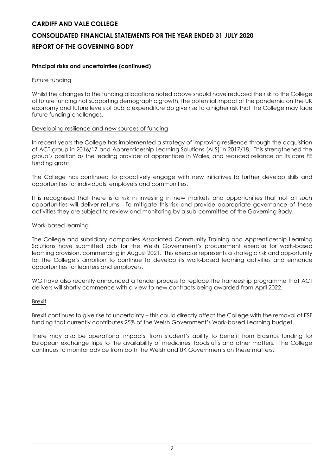### **Principal risks and uncertainties (continued)**

### Future funding

Whilst the changes to the funding allocations noted above should have reduced the risk to the College of future funding not supporting demographic growth, the potential impact of the pandemic on the UK economy and future levels of public expenditure do give rise to a higher risk that the College may face future funding challenges.

### Developing resilience and new sources of funding

In recent years the College has implemented a strategy of improving resilience through the acquisition of ACT group in 2016/17 and Apprenticeship Learning Solutions (ALS) in 2017/18. This strengthened the group's position as the leading provider of apprentices in Wales, and reduced reliance on its core FE funding grant.

The College has continued to proactively engage with new initiatives to further develop skills and opportunities for individuals, employers and communities.

It is recognised that there is a risk in investing in new markets and opportunities that not all such opportunities will deliver returns. To mitigate this risk and provide appropriate governance of these activities they are subject to review and monitoring by a sub-committee of the Governing Body.

### Work-based learning

The College and subsidiary companies Associated Community Training and Apprenticeship Learning Solutions have submitted bids for the Welsh Government's procurement exercise for work-based learning provision, commencing in August 2021. This exercise represents a strategic risk and opportunity for the College's ambition to continue to develop its work-based learning activities and enhance opportunities for learners and employers.

WG have also recently announced a tender process to replace the traineeship programme that ACT delivers will shortly commence with a view to new contracts being awarded from April 2022.

### Brexit

Brexit continues to give rise to uncertainty – this could directly affect the College with the removal of ESF funding that currently contributes 25% of the Welsh Government's Work-based Learning budget.

There may also be operational impacts, from student's ability to benefit from Erasmus funding for European exchange trips to the availability of medicines, foodstuffs and other matters. The College continues to monitor advice from both the Welsh and UK Governments on these matters.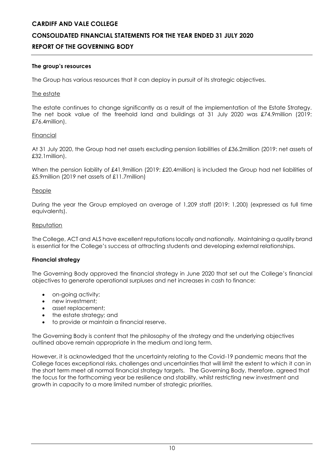### **CONSOLIDATED FINANCIAL STATEMENTS FOR THE YEAR ENDED 31 JULY 2020 REPORT OF THE GOVERNING BODY**

### **The group's resources**

The Group has various resources that it can deploy in pursuit of its strategic objectives.

### The estate

The estate continues to change significantly as a result of the implementation of the Estate Strategy. The net book value of the freehold land and buildings at 31 July 2020 was £74.9million (2019: £76.4million).

### Financial

At 31 July 2020, the Group had net assets excluding pension liabilities of £36.2million (2019: net assets of £32.1million).

When the pension liability of £41.9million (2019: £20.4million) is included the Group had net liabilities of £5.9million (2019 net assets of £11.7million)

### People

During the year the Group employed an average of 1,209 staff (2019: 1,200) (expressed as full time equivalents).

### Reputation

The College, ACT and ALS have excellent reputations locally and nationally. Maintaining a quality brand is essential for the College's success at attracting students and developing external relationships.

### **Financial strategy**

The Governing Body approved the financial strategy in June 2020 that set out the College's financial objectives to generate operational surpluses and net increases in cash to finance:

- on-going activity;
- new investment:
- asset replacement;
- the estate strategy; and
- to provide or maintain a financial reserve.

The Governing Body is content that the philosophy of the strategy and the underlying objectives outlined above remain appropriate in the medium and long term.

However, it is acknowledged that the uncertainty relating to the Covid-19 pandemic means that the College faces exceptional risks, challenges and uncertainties that will limit the extent to which it can in the short term meet all normal financial strategy targets. The Governing Body, therefore, agreed that the focus for the forthcoming year be resilience and stability, whilst restricting new investment and growth in capacity to a more limited number of strategic priorities.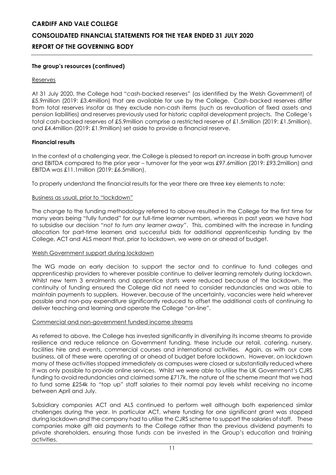### **The group's resources (continued)**

### Reserves

At 31 July 2020, the College had "cash-backed reserves" (as identified by the Welsh Government) of £5.9million (2019: £3.4million) that are available for use by the College. Cash-backed reserves differ from total reserves insofar as they exclude non-cash items (such as revaluation of fixed assets and pension liabilities) and reserves previously used for historic capital development projects. The College's total cash-backed reserves of £5.9million comprise a restricted reserve of £1.5million (2019: £1.5million), and £4.4million (2019: £1.9million) set aside to provide a financial reserve.

### **Financial results**

In the context of a challenging year, the College is pleased to report an increase in both group turnover and EBITDA compared to the prior year – turnover for the year was £97.6million (2019: £93.2million) and EBITDA was £11.1million (2019: £6.5million).

To properly understand the financial results for the year there are three key elements to note:

#### Business as usual, prior to "lockdown"

The change to the funding methodology referred to above resulted in the College for the first time for many years being "fully funded" for our full-time learner numbers, whereas in past years we have had to subsidise our decision "*not to turn any learner away*". This, combined with the increase in funding allocation for part-time learners and successful bids for additional apprenticeship funding by the College, ACT and ALS meant that, prior to lockdown, we were on or ahead of budget.

### Welsh Government support during lockdown

The WG made an early decision to support the sector and to continue to fund colleges and apprenticeship providers to wherever possible continue to deliver learning remotely during lockdown. Whilst new term 3 enrolments and apprentice starts were reduced because of the lockdown, the continuity of funding ensured the College did not need to consider redundancies and was able to maintain payments to suppliers. However, because of the uncertainty, vacancies were held wherever possible and non-pay expenditure significantly reduced to offset the additional costs of continuing to deliver teaching and learning and operate the College "on-line".

#### Commercial and non-government funded income streams

As referred to above, the College has invested significantly in diversifying its income streams to provide resilience and reduce reliance on Government funding, these include our retail, catering, nursery, facilities hire and events, commercial courses and international activities. Again, as with our core business, all of these were operating at or ahead of budget before lockdown. However, on lockdown many of these activities stopped immediately as campuses were closed or substantially reduced where it was only possible to provide online services. Whilst we were able to utilise the UK Government's CJRS funding to avoid redundancies and claimed some £717k, the nature of the scheme meant that we had to fund some £254k to "top up" staff salaries to their normal pay levels whilst receiving no income between April and July.

Subsidiary companies ACT and ALS continued to perform well although both experienced similar challenges during the year. In particular ACT, where funding for one significant grant was stopped during lockdown and the company had to utilise the CJRS scheme to support the salaries of staff. These companies make gift aid payments to the College rather than the previous dividend payments to private shareholders, ensuring those funds can be invested in the Group's education and training activities.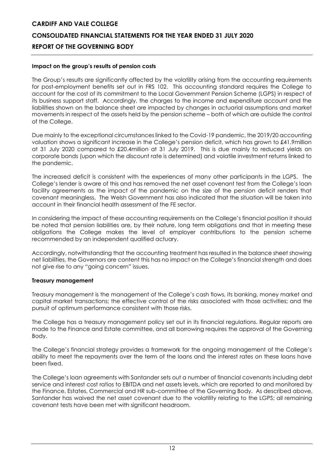### **Impact on the group's results of pension costs**

The Group's results are significantly affected by the volatility arising from the accounting requirements for post-employment benefits set out in FRS 102. This accounting standard requires the College to account for the cost of its commitment to the Local Government Pension Scheme (LGPS) in respect of its business support staff. Accordingly, the charges to the income and expenditure account and the liabilities shown on the balance sheet are impacted by changes in actuarial assumptions and market movements in respect of the assets held by the pension scheme – both of which are outside the control of the College.

Due mainly to the exceptional circumstances linked to the Covid-19 pandemic, the 2019/20 accounting valuation shows a significant increase in the College's pension deficit, which has grown to £41.9million at 31 July 2020 compared to £20.4million at 31 July 2019. This is due mainly to reduced yields on corporate bonds (upon which the discount rate is determined) and volatile investment returns linked to the pandemic.

The increased deficit is consistent with the experiences of many other participants in the LGPS. The College's lender is aware of this and has removed the net asset covenant test from the College's loan facility agreements as the impact of the pandemic on the size of the pension deficit renders that covenant meaningless. The Welsh Government has also indicated that the situation will be taken into account in their financial health assessment of the FE sector.

In considering the impact of these accounting requirements on the College's financial position it should be noted that pension liabilities are, by their nature, long term obligations and that in meeting these obligations the College makes the level of employer contributions to the pension scheme recommended by an independent qualified actuary.

Accordingly, notwithstanding that the accounting treatment has resulted in the balance sheet showing net liabilities, the Governors are content this has no impact on the College's financial strength and does not give rise to any "going concern" issues.

### **Treasury management**

Treasury management is the management of the College's cash flows, its banking, money market and capital market transactions; the effective control of the risks associated with those activities; and the pursuit of optimum performance consistent with those risks.

The College has a treasury management policy set out in its financial regulations. Regular reports are made to the Finance and Estate committee, and all borrowing requires the approval of the Governing Body.

The College's financial strategy provides a framework for the ongoing management of the College's ability to meet the repayments over the term of the loans and the interest rates on these loans have been fixed.

The College's loan agreements with Santander sets out a number of financial covenants including debt service and interest cost ratios to EBITDA and net assets levels, which are reported to and monitored by the Finance, Estates, Commercial and HR sub-committee of the Governing Body. As described above, Santander has waived the net asset covenant due to the volatility relating to the LGPS; all remaining covenant tests have been met with significant headroom.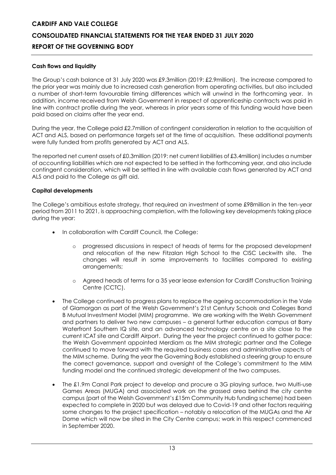### **Cash flows and liquidity**

The Group's cash balance at 31 July 2020 was £9.3million (2019: £2.9million). The increase compared to the prior year was mainly due to increased cash generation from operating activities, but also included a number of short-term favourable timing differences which will unwind in the forthcoming year. In addition, income received from Welsh Government in respect of apprenticeship contracts was paid in line with contract profile during the year, whereas in prior years some of this funding would have been paid based on claims after the year end.

During the year, the College paid £2.7million of contingent consideration in relation to the acquisition of ACT and ALS, based on performance targets set at the time of acquisition. These additional payments were fully funded from profits generated by ACT and ALS.

The reported net current assets of £0.3million (2019: net current liabilities of £3.4million) includes a number of accounting liabilities which are not expected to be settled in the forthcoming year, and also include contingent consideration, which will be settled in line with available cash flows generated by ACT and ALS and paid to the College as gift aid.

### **Capital developments**

The College's ambitious estate strategy, that required an investment of some £98million in the ten-year period from 2011 to 2021, is approaching completion, with the following key developments taking place during the year:

- In collaboration with Cardiff Council, the College:
	- o progressed discussions in respect of heads of terms for the proposed development and relocation of the new Fitzalan High School to the CISC Leckwith site. The changes will result in some improvements to facilities compared to existing arrangements;
	- o Agreed heads of terms for a 35 year lease extension for Cardiff Construction Training Centre (CCTC).
- The College continued to progress plans to replace the ageing accommodation in the Vale of Glamorgan as part of the Welsh Government's 21st Century Schools and Colleges Band B Mutual Investment Model (MIM) programme. We are working with the Welsh Government and partners to deliver two new campuses – a general further education campus at Barry Waterfront Southern IQ site, and an advanced technology centre on a site close to the current ICAT site and Cardiff Airport. During the year the project continued to gather pace: the Welsh Government appointed Merdiam as the MIM strategic partner and the College continued to move forward with the required business cases and administrative aspects of the MIM scheme. During the year the Governing Body established a steering group to ensure the correct governance, support and oversight of the College's commitment to the MIM funding model and the continued strategic development of the two campuses.
- The £1.9m Canal Park project to develop and procure a 3G playing surface, two Multi-use Games Areas (MUGA) and associated work on the grassed area behind the city centre campus (part of the Welsh Government's £15m Community Hub funding scheme) had been expected to complete in 2020 but was delayed due to Covid-19 and other factors requiring some changes to the project specification – notably a relocation of the MUGAs and the Air Dome which will now be sited in the City Centre campus; work in this respect commenced in September 2020.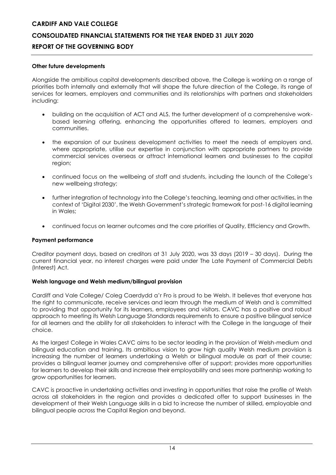### **Other future developments**

Alongside the ambitious capital developments described above, the College is working on a range of priorities both internally and externally that will shape the future direction of the College, its range of services for learners, employers and communities and its relationships with partners and stakeholders including:

- building on the acquisition of ACT and ALS, the further development of a comprehensive workbased learning offering, enhancing the opportunities offered to learners, employers and communities.
- the expansion of our business development activities to meet the needs of employers and, where appropriate, utilise our expertise in conjunction with appropriate partners to provide commercial services overseas or attract international learners and businesses to the capital region;
- continued focus on the wellbeing of staff and students, including the launch of the College's new wellbeing strategy;
- further integration of technology into the College's teaching, learning and other activities, in the context of 'Digital 2030', the Welsh Government's strategic framework for post-16 digital learning in Wales;
- continued focus on learner outcomes and the core priorities of Quality, Efficiency and Growth.

### **Payment performance**

Creditor payment days, based on creditors at 31 July 2020, was 33 days (2019 – 30 days). During the current financial year, no interest charges were paid under The Late Payment of Commercial Debts (Interest) Act.

### **Welsh language and Welsh medium/bilingual provision**

Cardiff and Vale College/ Coleg Caerdydd a'r Fro is proud to be Welsh. It believes that everyone has the right to communicate, receive services and learn through the medium of Welsh and is committed to providing that opportunity for its learners, employees and visitors. CAVC has a positive and robust approach to meeting its Welsh Language Standards requirements to ensure a positive bilingual service for all learners and the ability for all stakeholders to interact with the College in the language of their choice.

As the largest College in Wales CAVC aims to be sector leading in the provision of Welsh-medium and bilingual education and training. Its ambitious vision to grow high quality Welsh medium provision is increasing the number of learners undertaking a Welsh or bilingual module as part of their course; provides a bilingual learner journey and comprehensive offer of support; provides more opportunities for learners to develop their skills and increase their employability and sees more partnership working to grow opportunities for learners.

CAVC is proactive in undertaking activities and investing in opportunities that raise the profile of Welsh across all stakeholders in the region and provides a dedicated offer to support businesses in the development of their Welsh Language skills in a bid to increase the number of skilled, employable and bilingual people across the Capital Region and beyond.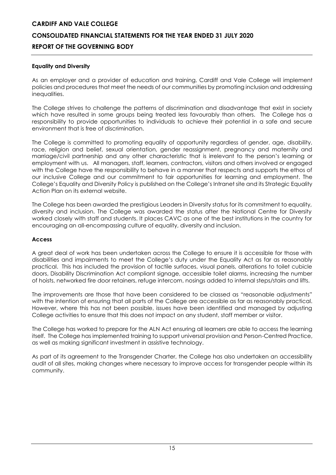### **Equality and Diversity**

As an employer and a provider of education and training, Cardiff and Vale College will implement policies and procedures that meet the needs of our communities by promoting inclusion and addressing inequalities.

The College strives to challenge the patterns of discrimination and disadvantage that exist in society which have resulted in some groups being treated less favourably than others. The College has a responsibility to provide opportunities to individuals to achieve their potential in a safe and secure environment that is free of discrimination.

The College is committed to promoting equality of opportunity regardless of gender, age, disability, race, religion and belief, sexual orientation, gender reassignment, pregnancy and maternity and marriage/civil partnership and any other characteristic that is irrelevant to the person's learning or employment with us. All managers, staff, learners, contractors, visitors and others involved or engaged with the College have the responsibility to behave in a manner that respects and supports the ethos of our inclusive College and our commitment to fair opportunities for learning and employment. The College's Equality and Diversity Policy is published on the College's Intranet site and its Strategic Equality Action Plan on its external website.

The College has been awarded the prestigious Leaders in Diversity status for its commitment to equality, diversity and inclusion. The College was awarded the status after the National Centre for Diversity worked closely with staff and students. It places CAVC as one of the best institutions in the country for encouraging an all-encompassing culture of equality, diversity and inclusion.

### **Access**

A great deal of work has been undertaken across the College to ensure it is accessible for those with disabilities and impairments to meet the College's duty under the Equality Act as far as reasonably practical. This has included the provision of tactile surfaces, visual panels, alterations to toilet cubicle doors, Disability Discrimination Act compliant signage, accessible toilet alarms, increasing the number of hoists, networked fire door retainers, refuge intercom, nosings added to internal steps/stairs and lifts.

The improvements are those that have been considered to be classed as "reasonable adjustments" with the intention of ensuring that all parts of the College are accessible as far as reasonably practical. However, where this has not been possible, issues have been identified and managed by adjusting College activities to ensure that this does not impact on any student, staff member or visitor.

The College has worked to prepare for the ALN Act ensuring all learners are able to access the learning itself. The College has implemented training to support universal provision and Person-Centred Practice, as well as making significant investment in assistive technology.

As part of its agreement to the Transgender Charter, the College has also undertaken an accessibility audit of all sites, making changes where necessary to improve access for transgender people within its community.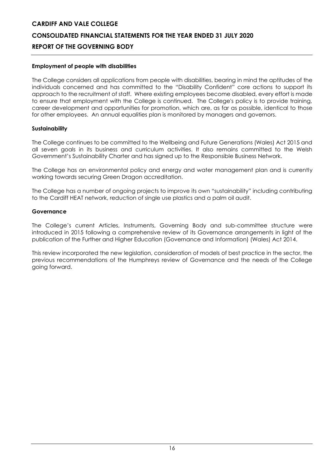### **Employment of people with disabilities**

The College considers all applications from people with disabilities, bearing in mind the aptitudes of the individuals concerned and has committed to the "Disability Confident" core actions to support its approach to the recruitment of staff. Where existing employees become disabled, every effort is made to ensure that employment with the College is continued. The College's policy is to provide training, career development and opportunities for promotion, which are, as far as possible, identical to those for other employees. An annual equalities plan is monitored by managers and governors.

### **Sustainability**

The College continues to be committed to the Wellbeing and Future Generations (Wales) Act 2015 and all seven goals in its business and curriculum activities. It also remains committed to the Welsh Government's Sustainability Charter and has signed up to the Responsible Business Network.

The College has an environmental policy and energy and water management plan and is currently working towards securing Green Dragon accreditation.

The College has a number of ongoing projects to improve its own "sustainability" including contributing to the Cardiff HEAT network, reduction of single use plastics and a palm oil audit.

### **Governance**

The College's current Articles, Instruments, Governing Body and sub-committee structure were introduced in 2015 following a comprehensive review of its Governance arrangements in light of the publication of the Further and Higher Education (Governance and Information) (Wales) Act 2014.

This review incorporated the new legislation, consideration of models of best practice in the sector, the previous recommendations of the Humphreys review of Governance and the needs of the College going forward.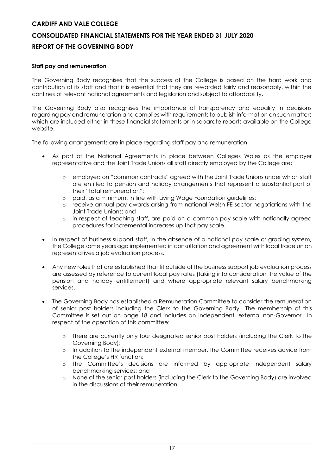### **Staff pay and remuneration**

The Governing Body recognises that the success of the College is based on the hard work and contribution of its staff and that it is essential that they are rewarded fairly and reasonably, within the confines of relevant national agreements and legislation and subject to affordability.

The Governing Body also recognises the importance of transparency and equality in decisions regarding pay and remuneration and complies with requirements to publish information on such matters which are included either in these financial statements or in separate reports available on the College website.

The following arrangements are in place regarding staff pay and remuneration:

- As part of the National Agreements in place between Colleges Wales as the employer representative and the Joint Trade Unions all staff directly employed by the College are:
	- o employed on "common contracts" agreed with the Joint Trade Unions under which staff are entitled to pension and holiday arrangements that represent a substantial part of their "total remuneration";
	- o paid, as a minimum, in line with Living Wage Foundation guidelines;
	- o receive annual pay awards arising from national Welsh FE sector negotiations with the Joint Trade Unions; and
	- o in respect of teaching staff, are paid on a common pay scale with nationally agreed procedures for incremental increases up that pay scale.
- In respect of business support staff, in the absence of a national pay scale or grading system, the College some years ago implemented in consultation and agreement with local trade union representatives a job evaluation process.
- Any new roles that are established that fit outside of the business support job evaluation process are assessed by reference to current local pay rates (taking into consideration the value of the pension and holiday entitlement) and where appropriate relevant salary benchmarking services.
- The Governing Body has established a Remuneration Committee to consider the remuneration of senior post holders including the Clerk to the Governing Body. The membership of this Committee is set out on page 18 and includes an independent, external non-Governor. In respect of the operation of this committee:
	- o There are currently only four designated senior post holders (including the Clerk to the Governing Body);
	- o In addition to the independent external member, the Committee receives advice from the College's HR function;
	- o The Committee's decisions are informed by appropriate independent salary benchmarking services; and
	- o None of the senior post holders (including the Clerk to the Governing Body) are involved in the discussions of their remuneration.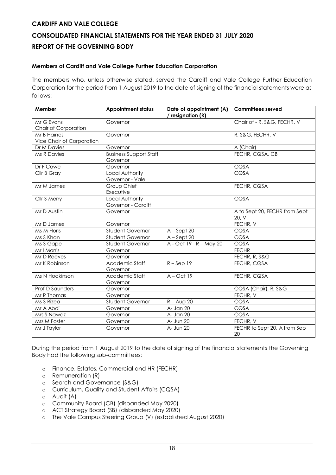### **Members of Cardiff and Vale College Further Education Corporation**

The members who, unless otherwise stated, served the Cardiff and Vale College Further Education Corporation for the period from 1 August 2019 to the date of signing of the financial statements were as follows:

| Member                    | <b>Appointment status</b>     | Date of appointment (A) | <b>Committees served</b>      |
|---------------------------|-------------------------------|-------------------------|-------------------------------|
|                           |                               | / resignation (R)       |                               |
| Mr G Evans                | Governor                      |                         | Chair of - R, S&G, FECHR, V   |
| Chair of Corporation      |                               |                         |                               |
| Mr B Haines               | Governor                      |                         | R, S&G, FECHR, V              |
| Vice Chair of Corporation |                               |                         |                               |
| Dr M Davies               | Governor                      |                         | A (Chair)                     |
| <b>Ms R Davies</b>        | <b>Business Support Staff</b> |                         | FECHR, CQSA, CB               |
|                           | Governor                      |                         |                               |
| Dr F Cowe                 | Governor                      |                         | CQSA                          |
| Cllr B Gray               | Local Authority               |                         | CQSA                          |
|                           | Governor - Vale               |                         |                               |
| Mr M James                | Group Chief                   |                         | FECHR, CQSA                   |
|                           | Executive                     |                         |                               |
| Cllr S Merry              | Local Authority               |                         | CQSA                          |
|                           | Governor - Cardiff            |                         |                               |
| Mr D Austin               | Governor                      |                         | A to Sept 20, FECHR from Sept |
|                           |                               |                         | 20, V                         |
| Mr D James                | Governor                      |                         | FECHR, V                      |
| Ms M Floris               | Student Governor              | $A - Sept 20$           | CQSA                          |
| Ms S Khan                 | <b>Student Governor</b>       | $A - Sept 20$           | CQSA                          |
| Ms S Gape                 | Student Governor              | A - Oct 19 R - May 20   | CQSA                          |
| Mr I Morris               | Governor                      |                         | <b>FECHR</b>                  |
| Mr D Reeves               | Governor                      |                         | FECHR, R, S&G                 |
| Mr K Robinson             | Academic Staff                | $R -$ Sep 19            | FECHR, CQSA                   |
|                           | Governor                      |                         |                               |
| Ms N Hodkinson            | Academic Staff                | $A - Oct$ 19            | FECHR, CQSA                   |
|                           | Governor                      |                         |                               |
| <b>Prof D Saunders</b>    | Governor                      |                         | CQSA (Chair), R, S&G          |
| Mr R Thomas               | Governor                      |                         | FECHR, V                      |
| Ms S Rizea                | Student Governor              | $R - A \cup Q$ 20       | CQSA                          |
| Mr A Abdi                 | Governor                      | $A -$ Jan 20            | CQSA                          |
| Mrs S Nawaz               | Governor                      | A- Jan 20               | CQSA                          |
| Mrs M Foster              | Governor                      | A- Jun 20               | FECHR, V                      |
| Mr J Taylor               | Governor                      | A- Jun 20               | FECHR to Sept 20, A from Sep  |
|                           |                               |                         | 20                            |

During the period from 1 August 2019 to the date of signing of the financial statements the Governing Body had the following sub-committees:

- o Finance, Estates, Commercial and HR (FECHR)
- o Remuneration (R)
- o Search and Governance (S&G)
- o Curriculum, Quality and Student Affairs (CQSA)
- o Audit (A)
- o Community Board (CB) (disbanded May 2020)
- o ACT Strategy Board (SB) (disbanded May 2020)
- o The Vale Campus Steering Group (V) (established August 2020)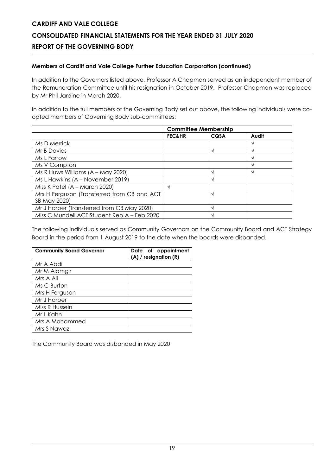### **Members of Cardiff and Vale College Further Education Corporation (continued)**

In addition to the Governors listed above, Professor A Chapman served as an independent member of the Remuneration Committee until his resignation in October 2019. Professor Chapman was replaced by Mr Phil Jardine in March 2020.

In addition to the full members of the Governing Body set out above, the following individuals were coopted members of Governing Body sub-committees:

|                                             | <b>Committee Membership</b> |      |       |
|---------------------------------------------|-----------------------------|------|-------|
|                                             | <b>FEC&amp;HR</b>           | CQSA | Audit |
| Ms D Merrick                                |                             |      |       |
| Mr B Davies                                 |                             |      |       |
| Ms L Farrow                                 |                             |      |       |
| Ms V Compton                                |                             |      |       |
| Ms R Huws Williams $(A - May 2020)$         |                             |      |       |
| Ms L Hawkins (A - November 2019)            |                             |      |       |
| Miss K Patel (A - March 2020)               |                             |      |       |
| Mrs H Ferguson (Transferred from CB and ACT |                             |      |       |
| SB May 2020)                                |                             |      |       |
| Mr J Harper (Transferred from CB May 2020)  |                             |      |       |
| Miss C Mundell ACT Student Rep A - Feb 2020 |                             |      |       |

The following individuals served as Community Governors on the Community Board and ACT Strategy Board in the period from 1 August 2019 to the date when the boards were disbanded.

| <b>Community Board Governor</b> | Date of appointment<br>(A) / resignation (R) |
|---------------------------------|----------------------------------------------|
| Mr A Abdi                       |                                              |
| Mr M Alamgir                    |                                              |
| Mrs A Ali                       |                                              |
| Ms C Burton                     |                                              |
| Mrs H Ferguson                  |                                              |
| Mr J Harper                     |                                              |
| Miss R Hussein                  |                                              |
| Mr L Kahn                       |                                              |
| Mrs A Mohammed                  |                                              |
| Mrs S Nawaz                     |                                              |

The Community Board was disbanded in May 2020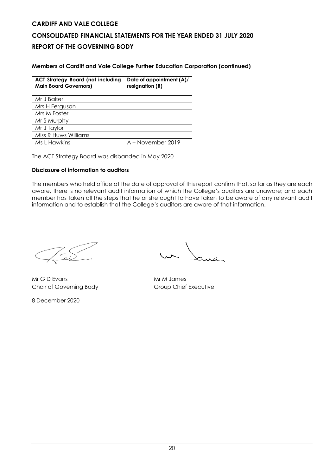### **Members of Cardiff and Vale College Further Education Corporation (continued)**

| <b>ACT Strategy Board (not including</b><br><b>Main Board Governors)</b> | Date of appointment (A)/<br>resignation (R) |
|--------------------------------------------------------------------------|---------------------------------------------|
| Mr J Baker                                                               |                                             |
| Mrs H Ferguson                                                           |                                             |
| Mrs M Foster                                                             |                                             |
| Mr S Murphy                                                              |                                             |
| Mr J Taylor                                                              |                                             |
| Miss R Huws Williams                                                     |                                             |
| Ms L Hawkins                                                             | A – November 2019                           |

The ACT Strategy Board was disbanded in May 2020

### **Disclosure of information to auditors**

The members who held office at the date of approval of this report confirm that, so far as they are each aware, there is no relevant audit information of which the College's auditors are unaware; and each member has taken all the steps that he or she ought to have taken to be aware of any relevant audit information and to establish that the College's auditors are aware of that information.

Mr G D Evans Mr M James Chair of Governing Body Group Chief Executive

8 December 2020

un James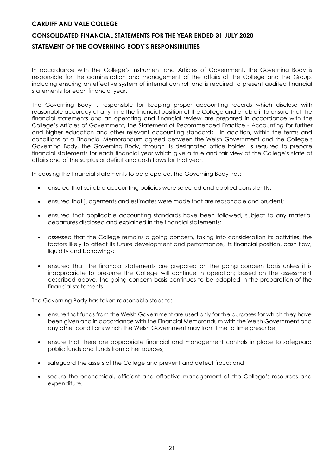### **CONSOLIDATED FINANCIAL STATEMENTS FOR THE YEAR ENDED 31 JULY 2020 STATEMENT OF THE GOVERNING BODY'S RESPONSIBILITIES**

In accordance with the College's Instrument and Articles of Government, the Governing Body is responsible for the administration and management of the affairs of the College and the Group, including ensuring an effective system of internal control, and is required to present audited financial statements for each financial year.

The Governing Body is responsible for keeping proper accounting records which disclose with reasonable accuracy at any time the financial position of the College and enable it to ensure that the financial statements and an operating and financial review are prepared in accordance with the College's Articles of Government, the Statement of Recommended Practice - Accounting for further and higher education and other relevant accounting standards. In addition, within the terms and conditions of a Financial Memorandum agreed between the Welsh Government and the College's Governing Body, the Governing Body, through its designated office holder, is required to prepare financial statements for each financial year which give a true and fair view of the College's state of affairs and of the surplus or deficit and cash flows for that year.

In causing the financial statements to be prepared, the Governing Body has:

- ensured that suitable accounting policies were selected and applied consistently;
- ensured that judgements and estimates were made that are reasonable and prudent;
- ensured that applicable accounting standards have been followed, subject to any material departures disclosed and explained in the financial statements;
- assessed that the College remains a going concern, taking into consideration its activities, the factors likely to affect its future development and performance, its financial position, cash flow, liquidity and borrowings;
- ensured that the financial statements are prepared on the going concern basis unless it is inappropriate to presume the College will continue in operation; based on the assessment described above, the going concern basis continues to be adopted in the preparation of the financial statements.

The Governing Body has taken reasonable steps to:

- ensure that funds from the Welsh Government are used only for the purposes for which they have been given and in accordance with the Financial Memorandum with the Welsh Government and any other conditions which the Welsh Government may from time to time prescribe;
- ensure that there are appropriate financial and management controls in place to safeguard public funds and funds from other sources;
- safeguard the assets of the College and prevent and detect fraud; and
- secure the economical, efficient and effective management of the College's resources and expenditure.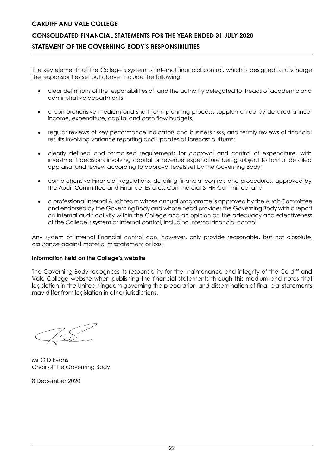### **CONSOLIDATED FINANCIAL STATEMENTS FOR THE YEAR ENDED 31 JULY 2020 STATEMENT OF THE GOVERNING BODY'S RESPONSIBILITIES**

The key elements of the College's system of internal financial control, which is designed to discharge the responsibilities set out above, include the following:

- clear definitions of the responsibilities of, and the authority delegated to, heads of academic and administrative departments;
- a comprehensive medium and short term planning process, supplemented by detailed annual income, expenditure, capital and cash flow budgets;
- regular reviews of key performance indicators and business risks, and termly reviews of financial results involving variance reporting and updates of forecast outturns;
- clearly defined and formalised requirements for approval and control of expenditure, with investment decisions involving capital or revenue expenditure being subject to formal detailed appraisal and review according to approval levels set by the Governing Body;
- comprehensive Financial Regulations, detailing financial controls and procedures, approved by the Audit Committee and Finance, Estates, Commercial & HR Committee; and
- a professional Internal Audit team whose annual programme is approved by the Audit Committee and endorsed by the Governing Body and whose head provides the Governing Body with a report on internal audit activity within the College and an opinion on the adequacy and effectiveness of the College's system of internal control, including internal financial control.

Any system of internal financial control can, however, only provide reasonable, but not absolute, assurance against material misstatement or loss.

### **Information held on the College's website**

The Governing Body recognises its responsibility for the maintenance and integrity of the Cardiff and Vale College website when publishing the financial statements through this medium and notes that legislation in the United Kingdom governing the preparation and dissemination of financial statements may differ from legislation in other jurisdictions.

Mr G D Evans Chair of the Governing Body

8 December 2020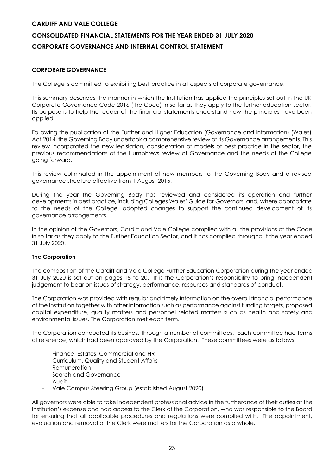### **CORPORATE GOVERNANCE**

The College is committed to exhibiting best practice in all aspects of corporate governance.

This summary describes the manner in which the Institution has applied the principles set out in the UK Corporate Governance Code 2016 (the Code) in so far as they apply to the further education sector. Its purpose is to help the reader of the financial statements understand how the principles have been applied.

Following the publication of the Further and Higher Education (Governance and Information) (Wales) Act 2014, the Governing Body undertook a comprehensive review of its Governance arrangements. This review incorporated the new legislation, consideration of models of best practice in the sector, the previous recommendations of the Humphreys review of Governance and the needs of the College going forward.

This review culminated in the appointment of new members to the Governing Body and a revised governance structure effective from 1 August 2015.

During the year the Governing Body has reviewed and considered its operation and further developments in best practice, including Colleges Wales' Guide for Governors, and, where appropriate to the needs of the College, adopted changes to support the continued development of its governance arrangements.

In the opinion of the Governors, Cardiff and Vale College complied with all the provisions of the Code in so far as they apply to the Further Education Sector, and it has complied throughout the year ended 31 July 2020.

### **The Corporation**

The composition of the Cardiff and Vale College Further Education Corporation during the year ended 31 July 2020 is set out on pages 18 to 20. It is the Corporation's responsibility to bring independent judgement to bear on issues of strategy, performance, resources and standards of conduct.

The Corporation was provided with regular and timely information on the overall financial performance of the Institution together with other information such as performance against funding targets, proposed capital expenditure, quality matters and personnel related matters such as health and safety and environmental issues. The Corporation met each term.

The Corporation conducted its business through a number of committees. Each committee had terms of reference, which had been approved by the Corporation. These committees were as follows:

- Finance, Estates, Commercial and HR
- Curriculum, Quality and Student Affairs
- **Remuneration**
- Search and Governance
- Audit
- Vale Campus Steering Group (established August 2020)

All governors were able to take independent professional advice in the furtherance of their duties at the Institution's expense and had access to the Clerk of the Corporation, who was responsible to the Board for ensuring that all applicable procedures and regulations were complied with. The appointment, evaluation and removal of the Clerk were matters for the Corporation as a whole.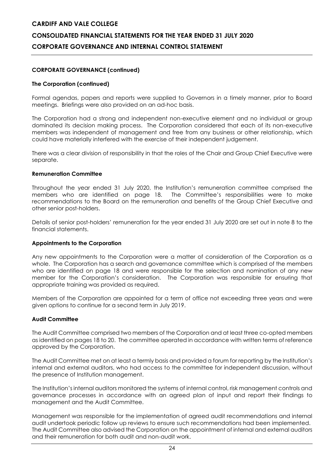### **CORPORATE GOVERNANCE (continued)**

### **The Corporation (continued)**

Formal agendas, papers and reports were supplied to Governors in a timely manner, prior to Board meetings. Briefings were also provided on an ad-hoc basis.

The Corporation had a strong and independent non-executive element and no individual or group dominated its decision making process. The Corporation considered that each of its non-executive members was independent of management and free from any business or other relationship, which could have materially interfered with the exercise of their independent judgement.

There was a clear division of responsibility in that the roles of the Chair and Group Chief Executive were separate.

### **Remuneration Committee**

Throughout the year ended 31 July 2020, the Institution's remuneration committee comprised the members who are identified on page 18. The Committee's responsibilities were to make recommendations to the Board on the remuneration and benefits of the Group Chief Executive and other senior post-holders.

Details of senior post-holders' remuneration for the year ended 31 July 2020 are set out in note 8 to the financial statements.

### **Appointments to the Corporation**

Any new appointments to the Corporation were a matter of consideration of the Corporation as a whole. The Corporation has a search and governance committee which is comprised of the members who are identified on page 18 and were responsible for the selection and nomination of any new member for the Corporation's consideration. The Corporation was responsible for ensuring that appropriate training was provided as required.

Members of the Corporation are appointed for a term of office not exceeding three years and were given options to continue for a second term in July 2019.

### **Audit Committee**

The Audit Committee comprised two members of the Corporation and at least three co-opted members as identified on pages 18 to 20. The committee operated in accordance with written terms of reference approved by the Corporation.

The Audit Committee met on at least a termly basis and provided a forum for reporting by the Institution's internal and external auditors, who had access to the committee for independent discussion, without the presence of Institution management.

The Institution's internal auditors monitored the systems of internal control, risk management controls and governance processes in accordance with an agreed plan of input and report their findings to management and the Audit Committee.

Management was responsible for the implementation of agreed audit recommendations and internal audit undertook periodic follow up reviews to ensure such recommendations had been implemented. The Audit Committee also advised the Corporation on the appointment of internal and external auditors and their remuneration for both audit and non-audit work.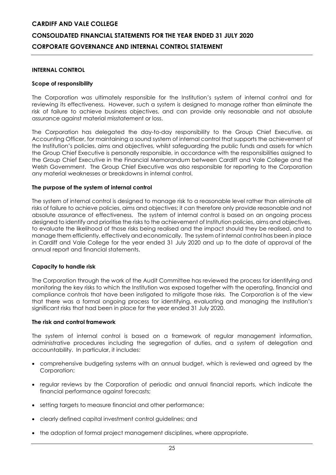### **INTERNAL CONTROL**

### **Scope of responsibility**

The Corporation was ultimately responsible for the Institution's system of internal control and for reviewing its effectiveness. However, such a system is designed to manage rather than eliminate the risk of failure to achieve business objectives, and can provide only reasonable and not absolute assurance against material misstatement or loss.

The Corporation has delegated the day-to-day responsibility to the Group Chief Executive, as Accounting Officer, for maintaining a sound system of internal control that supports the achievement of the Institution's policies, aims and objectives, whilst safeguarding the public funds and assets for which the Group Chief Executive is personally responsible, in accordance with the responsibilities assigned to the Group Chief Executive in the Financial Memorandum between Cardiff and Vale College and the Welsh Government. The Group Chief Executive was also responsible for reporting to the Corporation any material weaknesses or breakdowns in internal control.

### **The purpose of the system of internal control**

The system of internal control is designed to manage risk to a reasonable level rather than eliminate all risks of failure to achieve policies, aims and objectives; it can therefore only provide reasonable and not absolute assurance of effectiveness. The system of internal control is based on an ongoing process designed to identify and prioritise the risks to the achievement of Institution policies, aims and objectives, to evaluate the likelihood of those risks being realised and the impact should they be realised, and to manage them efficiently, effectively and economically. The system of internal control has been in place in Cardiff and Vale College for the year ended 31 July 2020 and up to the date of approval of the annual report and financial statements.

### **Capacity to handle risk**

The Corporation through the work of the Audit Committee has reviewed the process for identifying and monitoring the key risks to which the Institution was exposed together with the operating, financial and compliance controls that have been instigated to mitigate those risks. The Corporation is of the view that there was a formal ongoing process for identifying, evaluating and managing the Institution's significant risks that had been in place for the year ended 31 July 2020.

### **The risk and control framework**

The system of internal control is based on a framework of regular management information, administrative procedures including the segregation of duties, and a system of delegation and accountability. In particular, it includes:

- comprehensive budgeting systems with an annual budget, which is reviewed and agreed by the Corporation;
- regular reviews by the Corporation of periodic and annual financial reports, which indicate the financial performance against forecasts;
- setting targets to measure financial and other performance;
- clearly defined capital investment control guidelines; and
- the adoption of formal project management disciplines, where appropriate.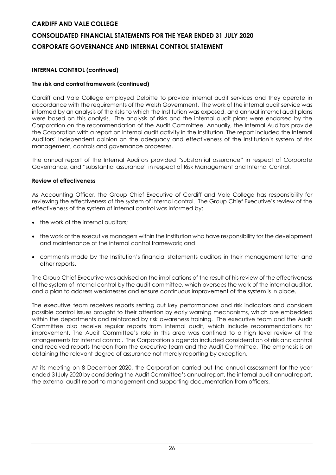### **INTERNAL CONTROL (continued)**

### **The risk and control framework (continued)**

Cardiff and Vale College employed Deloitte to provide internal audit services and they operate in accordance with the requirements of the Welsh Government. The work of the internal audit service was informed by an analysis of the risks to which the Institution was exposed, and annual internal audit plans were based on this analysis. The analysis of risks and the internal audit plans were endorsed by the Corporation on the recommendation of the Audit Committee. Annually, the Internal Auditors provide the Corporation with a report on internal audit activity in the Institution. The report included the Internal Auditors' independent opinion on the adequacy and effectiveness of the Institution's system of risk management, controls and governance processes.

The annual report of the Internal Auditors provided "substantial assurance" in respect of Corporate Governance, and "substantial assurance" in respect of Risk Management and Internal Control.

### **Review of effectiveness**

As Accounting Officer, the Group Chief Executive of Cardiff and Vale College has responsibility for reviewing the effectiveness of the system of internal control. The Group Chief Executive's review of the effectiveness of the system of internal control was informed by:

- the work of the internal auditors;
- the work of the executive managers within the Institution who have responsibility for the development and maintenance of the internal control framework; and
- comments made by the Institution's financial statements auditors in their management letter and other reports.

The Group Chief Executive was advised on the implications of the result of his review of the effectiveness of the system of internal control by the audit committee, which oversees the work of the internal auditor, and a plan to address weaknesses and ensure continuous improvement of the system is in place.

The executive team receives reports setting out key performances and risk indicators and considers possible control issues brought to their attention by early warning mechanisms, which are embedded within the departments and reinforced by risk awareness training. The executive team and the Audit Committee also receive regular reports from internal audit, which include recommendations for improvement. The Audit Committee's role in this area was confined to a high level review of the arrangements for internal control. The Corporation's agenda included consideration of risk and control and received reports thereon from the executive team and the Audit Committee. The emphasis is on obtaining the relevant degree of assurance not merely reporting by exception.

At its meeting on 8 December 2020, the Corporation carried out the annual assessment for the year ended 31July 2020 by considering the Audit Committee's annual report, the internal audit annual report, the external audit report to management and supporting documentation from officers.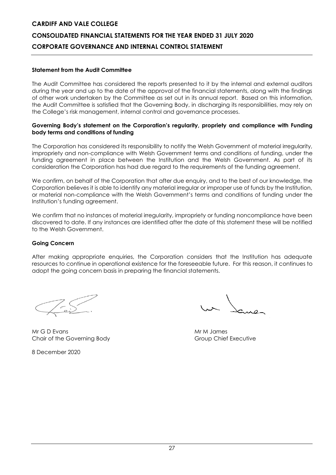### **Statement from the Audit Committee**

The Audit Committee has considered the reports presented to it by the internal and external auditors during the year and up to the date of the approval of the financial statements, along with the findings of other work undertaken by the Committee as set out in its annual report. Based on this information, the Audit Committee is satisfied that the Governing Body, in discharging its responsibilities, may rely on the College's risk management, internal control and governance processes.

### **Governing Body's statement on the Corporation's regularity, propriety and compliance with Funding body terms and conditions of funding**

The Corporation has considered its responsibility to notify the Welsh Government of material irregularity, impropriety and non-compliance with Welsh Government terms and conditions of funding, under the funding agreement in place between the Institution and the Welsh Government. As part of its consideration the Corporation has had due regard to the requirements of the funding agreement.

We confirm, on behalf of the Corporation that after due enquiry, and to the best of our knowledge, the Corporation believes it is able to identify any material irregular or improper use of funds by the Institution, or material non-compliance with the Welsh Government's terms and conditions of funding under the Institution's funding agreement.

We confirm that no instances of material irregularity, impropriety or funding noncompliance have been discovered to date. If any instances are identified after the date of this statement these will be notified to the Welsh Government.

### **Going Concern**

After making appropriate enquiries, the Corporation considers that the Institution has adequate resources to continue in operational existence for the foreseeable future. For this reason, it continues to adopt the going concern basis in preparing the financial statements.

Mr G D Evans Mr M James Mr M James Mr M James Mr M James Mr M James Mr M James Mr M James Mr M James Mr M James M Chair of the Governing Body Group Chief Executive

8 December 2020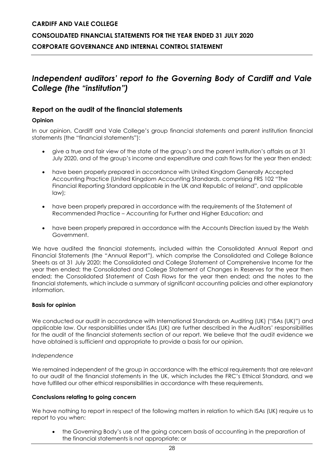### *Independent auditors' report to the Governing Body of Cardiff and Vale College (the "institution")*

### **Report on the audit of the financial statements**

### **Opinion**

In our opinion, Cardiff and Vale College's group financial statements and parent institution financial statements (the "financial statements"):

- give a true and fair view of the state of the group's and the parent institution's affairs as at 31 July 2020, and of the group's income and expenditure and cash flows for the year then ended;
- have been properly prepared in accordance with United Kingdom Generally Accepted Accounting Practice (United Kingdom Accounting Standards, comprising FRS 102 "The Financial Reporting Standard applicable in the UK and Republic of Ireland", and applicable law);
- have been properly prepared in accordance with the requirements of the Statement of Recommended Practice – Accounting for Further and Higher Education; and
- have been properly prepared in accordance with the Accounts Direction issued by the Welsh Government.

We have audited the financial statements, included within the Consolidated Annual Report and Financial Statements (the "Annual Report"), which comprise the Consolidated and College Balance Sheets as at 31 July 2020; the Consolidated and College Statement of Comprehensive Income for the year then ended; the Consolidated and College Statement of Changes in Reserves for the year then ended; the Consolidated Statement of Cash Flows for the year then ended; and the notes to the financial statements, which include a summary of significant accounting policies and other explanatory information.

### **Basis for opinion**

We conducted our audit in accordance with International Standards on Auditing (UK) ("ISAs (UK)") and applicable law. Our responsibilities under ISAs (UK) are further described in the Auditors' responsibilities for the audit of the financial statements section of our report. We believe that the audit evidence we have obtained is sufficient and appropriate to provide a basis for our opinion.

### *Independence*

We remained independent of the group in accordance with the ethical requirements that are relevant to our audit of the financial statements in the UK, which includes the FRC's Ethical Standard, and we have fulfilled our other ethical responsibilities in accordance with these requirements.

### **Conclusions relating to going concern**

We have nothing to report in respect of the following matters in relation to which ISAs (UK) require us to report to you when:

• the Governing Body's use of the going concern basis of accounting in the preparation of the financial statements is not appropriate; or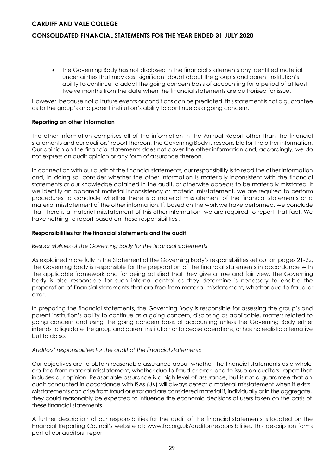### **CONSOLIDATED FINANCIAL STATEMENTS FOR THE YEAR ENDED 31 JULY 2020**

• the Governing Body has not disclosed in the financial statements any identified material uncertainties that may cast significant doubt about the group's and parent institution's ability to continue to adopt the going concern basis of accounting for a period of at least twelve months from the date when the financial statements are authorised for issue.

However, because not all future events or conditions can be predicted, this statement is not a guarantee as to the group's and parent institution's ability to continue as a going concern.

### **Reporting on other information**

The other information comprises all of the information in the Annual Report other than the financial statements and our auditors' report thereon. The Governing Body is responsible for the other information. Our opinion on the financial statements does not cover the other information and, accordingly, we do not express an audit opinion or any form of assurance thereon.

In connection with our audit of the financial statements, our responsibility is to read the other information and, in doing so, consider whether the other information is materially inconsistent with the financial statements or our knowledge obtained in the audit, or otherwise appears to be materially misstated. If we identify an apparent material inconsistency or material misstatement, we are required to perform procedures to conclude whether there is a material misstatement of the financial statements or a material misstatement of the other information. If, based on the work we have performed, we conclude that there is a material misstatement of this other information, we are required to report that fact. We have nothing to report based on these responsibilities.

### **Responsibilities for the financial statements and the audit**

### *Responsibilities of the Governing Body for the financial statements*

As explained more fully in the Statement of the Governing Body's responsibilities set out on pages 21-22, the Governing body is responsible for the preparation of the financial statements in accordance with the applicable framework and for being satisfied that they give a true and fair view. The Governing body is also responsible for such internal control as they determine is necessary to enable the preparation of financial statements that are free from material misstatement, whether due to fraud or error.

In preparing the financial statements, the Governing Body is responsible for assessing the group's and parent institution's ability to continue as a going concern, disclosing as applicable, matters related to going concern and using the going concern basis of accounting unless the Governing Body either intends to liquidate the group and parent institution or to cease operations, or has no realistic alternative but to do so.

### *Auditors' responsibilities for the audit of the financial statements*

Our objectives are to obtain reasonable assurance about whether the financial statements as a whole are free from material misstatement, whether due to fraud or error, and to issue an auditors' report that includes our opinion. Reasonable assurance is a high level of assurance, but is not a guarantee that an audit conducted in accordance with ISAs (UK) will always detect a material misstatement when it exists. Misstatements can arise from fraud or error and are considered material if, individually or in the aggregate, they could reasonably be expected to influence the economic decisions of users taken on the basis of these financial statements.

A further description of our responsibilities for the audit of the financial statements is located on the Financial Reporting Council's website at: www.frc.org.uk/auditorsresponsibilities. This description forms part of our auditors' report.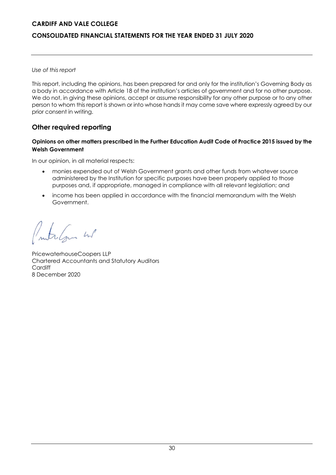### **CONSOLIDATED FINANCIAL STATEMENTS FOR THE YEAR ENDED 31 JULY 2020**

### *Use of this report*

This report, including the opinions, has been prepared for and only for the institution's Governing Body as a body in accordance with Article 18 of the institution's articles of government and for no other purpose. We do not, in giving these opinions, accept or assume responsibility for any other purpose or to any other person to whom this report is shown or into whose hands it may come save where expressly agreed by our prior consent in writing.

### **Other required reporting**

### **Opinions on other matters prescribed in the Further Education Audit Code of Practice 2015 issued by the Welsh Government**

In our opinion, in all material respects:

- monies expended out of Welsh Government grants and other funds from whatever source administered by the Institution for specific purposes have been properly applied to those purposes and, if appropriate, managed in compliance with all relevant legislation; and
- income has been applied in accordance with the financial memorandum with the Welsh Government.

treform we

PricewaterhouseCoopers LLP Chartered Accountants and Statutory Auditors **Cardiff** 8 December 2020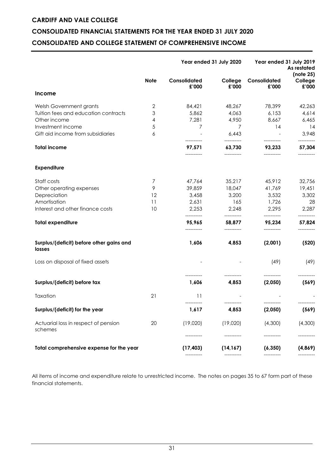### **CONSOLIDATED FINANCIAL STATEMENTS FOR THE YEAR ENDED 31 JULY 2020 CONSOLIDATED AND COLLEGE STATEMENT OF COMPREHENSIVE INCOME**

|                                                    |             |                                     | Year ended 31 July 2020             |                                     | Year ended 31 July 2019<br>As restated<br>(note 25) |
|----------------------------------------------------|-------------|-------------------------------------|-------------------------------------|-------------------------------------|-----------------------------------------------------|
|                                                    | <b>Note</b> | Consolidated<br>£'000               | College<br>£'000                    | Consolidated<br>£'000               | College<br>£'000                                    |
| Income                                             |             |                                     |                                     |                                     |                                                     |
| Welsh Government grants                            | 2           | 84,421                              | 48,267                              | 78,399                              | 42,263                                              |
| Tuition fees and education contracts               | 3           | 5,862                               | 4,063                               | 6,153                               | 4,614                                               |
| Other income                                       | 4           | 7,281                               | 4,950                               | 8,667                               | 6,465                                               |
| Investment income                                  | 5           | 7                                   | 7                                   | 14                                  | 14                                                  |
| Gift aid income from subsidiaries                  | 6           |                                     | 6,443                               | $\overline{\phantom{a}}$            | 3,948                                               |
| <b>Total income</b>                                |             | -----------<br>97,571<br>---------- | ----------<br>63,730<br>----------- | ----------<br>93,233<br>----------- | ----------<br>57,304                                |
| <b>Expenditure</b>                                 |             |                                     |                                     |                                     |                                                     |
| Staff costs                                        | 7           | 47,764                              | 35,217                              | 45,912                              | 32,756                                              |
| Other operating expenses                           | 9           | 39,859                              | 18,047                              | 41,769                              | 19,451                                              |
| Depreciation                                       | 12          | 3,458                               | 3,200                               | 3,532                               | 3,302                                               |
| Amortisation                                       | 11          | 2,631                               | 165                                 | 1,726                               | 28                                                  |
| Interest and other finance costs                   | 10          | 2,253                               | 2,248                               | 2,295                               | 2,287                                               |
| <b>Total expenditure</b>                           |             | ----------<br>95,965<br>----------  | ----------<br>58,877                | ----------<br>95,234<br>----------  | 57,824<br>----------                                |
| Surplus/(deficit) before other gains and<br>losses |             | 1,606                               | 4,853                               | (2,001)                             | (520)                                               |
| Loss on disposal of fixed assets                   |             |                                     |                                     | (49)                                | (49)                                                |
| Surplus/(deficit) before tax                       |             | 1,606                               | 4,853                               | (2,050)                             | (569)                                               |
| Taxation                                           | 21          | 11                                  |                                     |                                     |                                                     |
| Surplus/(deficit) for the year                     |             | ----------<br>1,617                 | 4,853                               | (2,050)                             | (569)                                               |
| Actuarial loss in respect of pension<br>schemes    | 20          | (19,020)                            | (19,020)                            | (4,300)                             | (4,300)                                             |
| Total comprehensive expense for the year           |             | (17, 403)                           | (14, 167)                           | (6, 350)                            | (4,869)                                             |
|                                                    |             |                                     |                                     |                                     |                                                     |

All items of income and expenditure relate to unrestricted income. The notes on pages 35 to 67 form part of these financial statements.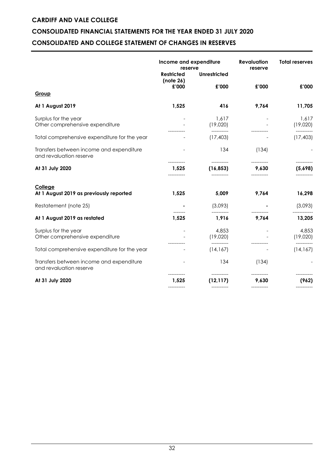### **CONSOLIDATED FINANCIAL STATEMENTS FOR THE YEAR ENDED 31 JULY 2020 CONSOLIDATED AND COLLEGE STATEMENT OF CHANGES IN RESERVES**

|                                                                     | Income and expenditure<br>reserve |                     | <b>Revaluation</b><br>reserve | <b>Total reserves</b>            |  |
|---------------------------------------------------------------------|-----------------------------------|---------------------|-------------------------------|----------------------------------|--|
|                                                                     | <b>Restricted</b><br>(note 26)    | <b>Unrestricted</b> |                               |                                  |  |
|                                                                     | £'000                             | £'000               | £'000                         | £'000                            |  |
| Group                                                               |                                   |                     |                               |                                  |  |
| At 1 August 2019                                                    | 1,525                             | 416                 | 9,764                         | 11,705                           |  |
| Surplus for the year<br>Other comprehensive expenditure             |                                   | 1,617<br>(19,020)   |                               | 1,617<br>(19,020)                |  |
| Total comprehensive expenditure for the year                        |                                   | (17, 403)           |                               | (17, 403)                        |  |
| Transfers between income and expenditure<br>and revaluation reserve |                                   | 134                 | (134)                         |                                  |  |
| At 31 July 2020                                                     | 1,525                             | (16, 853)           | -----------<br>9,630          | -----------<br>(5,698)           |  |
| College<br>At 1 August 2019 as previously reported                  | 1,525                             | 5,009               | 9,764                         | 16,298                           |  |
| Restatement (note 25)                                               |                                   | (3,093)             |                               | (3,093)                          |  |
| At 1 August 2019 as restated                                        | 1,525                             | 1,916               | 9,764                         | 13,205                           |  |
| Surplus for the year<br>Other comprehensive expenditure             |                                   | 4,853<br>(19,020)   |                               | 4,853<br>(19,020)<br>----------- |  |
| Total comprehensive expenditure for the year                        |                                   | (14, 167)           |                               | (14, 167)                        |  |
| Transfers between income and expenditure<br>and revaluation reserve |                                   | 134                 | (134)                         |                                  |  |
| At 31 July 2020                                                     | 1,525                             | (12, 117)           | 9,630                         | (962)                            |  |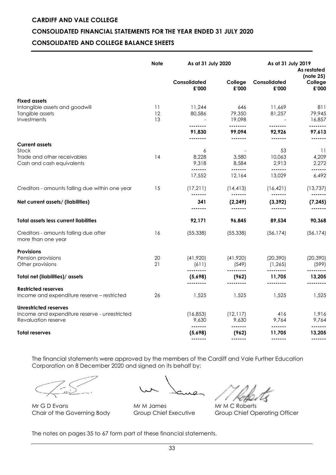### **CONSOLIDATED FINANCIAL STATEMENTS FOR THE YEAR ENDED 31 JULY 2020**

### **CONSOLIDATED AND COLLEGE BALANCE SHEETS**

|                                                                                                      | <b>Note</b>    | As at 31 July 2020             |                                                                                                                                                                                                                                                                                                                                                                                                                                                                                        | As at 31 July 2019                 | As restated<br>(note 25)        |
|------------------------------------------------------------------------------------------------------|----------------|--------------------------------|----------------------------------------------------------------------------------------------------------------------------------------------------------------------------------------------------------------------------------------------------------------------------------------------------------------------------------------------------------------------------------------------------------------------------------------------------------------------------------------|------------------------------------|---------------------------------|
|                                                                                                      |                | Consolidated<br>£'000          | College<br>£'000                                                                                                                                                                                                                                                                                                                                                                                                                                                                       | Consolidated<br>£'000              | College<br>£'000                |
| <b>Fixed assets</b>                                                                                  |                |                                |                                                                                                                                                                                                                                                                                                                                                                                                                                                                                        |                                    |                                 |
| Intangible assets and goodwill<br>Tangible assets<br>Investments                                     | 11<br>12<br>13 | 11,244<br>80,586               | 646<br>79,350<br>19,098                                                                                                                                                                                                                                                                                                                                                                                                                                                                | 11,669<br>81,257                   | 811<br>79,945<br>16,857         |
|                                                                                                      |                | <br>91,830<br>--------         | --------<br>99,094                                                                                                                                                                                                                                                                                                                                                                                                                                                                     | --------<br>92,926                 | --------<br>97,613              |
| <b>Current assets</b>                                                                                |                |                                | $\begin{array}{cccccccccc} \multicolumn{2}{c}{} & \multicolumn{2}{c}{} & \multicolumn{2}{c}{} & \multicolumn{2}{c}{} & \multicolumn{2}{c}{} & \multicolumn{2}{c}{} & \multicolumn{2}{c}{} & \multicolumn{2}{c}{} & \multicolumn{2}{c}{} & \multicolumn{2}{c}{} & \multicolumn{2}{c}{} & \multicolumn{2}{c}{} & \multicolumn{2}{c}{} & \multicolumn{2}{c}{} & \multicolumn{2}{c}{} & \multicolumn{2}{c}{} & \multicolumn{2}{c}{} & \multicolumn{2}{c}{} & \multicolumn{2}{c}{} & \mult$ | -------                            | -------                         |
| Stock<br>Trade and other receivables<br>Cash and cash equivalents                                    | 14             | 6<br>8,228<br>9,318<br>------- | 3,580<br>8,584<br>-------                                                                                                                                                                                                                                                                                                                                                                                                                                                              | 53<br>10,063<br>2,913<br>-------   | 11<br>4,209<br>2,272<br>------- |
|                                                                                                      |                | 17,552                         | 12,164                                                                                                                                                                                                                                                                                                                                                                                                                                                                                 | 13,029                             | 6,492                           |
| Creditors - amounts falling due within one year                                                      | 15             | (17,211)                       | (14, 413)<br>-------                                                                                                                                                                                                                                                                                                                                                                                                                                                                   | (16, 421)<br>1.1.1.1.1.1           | (13, 737)<br>-------            |
| Net current assets/ (liabilities)                                                                    |                | 341<br>                        | (2, 249)<br>-------                                                                                                                                                                                                                                                                                                                                                                                                                                                                    | (3, 392)<br>-------                | (7, 245)<br>-------             |
|                                                                                                      |                |                                |                                                                                                                                                                                                                                                                                                                                                                                                                                                                                        |                                    |                                 |
| <b>Total assets less current liabilities</b>                                                         |                | 92,171                         | 96,845                                                                                                                                                                                                                                                                                                                                                                                                                                                                                 | 89,534                             | 90,368                          |
| Creditors - amounts falling due after<br>more than one year                                          | 16             | (55, 338)                      | (55, 338)                                                                                                                                                                                                                                                                                                                                                                                                                                                                              | (56, 174)                          | (56, 174)                       |
| <b>Provisions</b>                                                                                    |                |                                |                                                                                                                                                                                                                                                                                                                                                                                                                                                                                        |                                    |                                 |
| Pension provisions<br>Other provisions                                                               | 20<br>21       | (41,920)<br>(611)<br>          | (41,920)<br>(549)<br>                                                                                                                                                                                                                                                                                                                                                                                                                                                                  | (20, 390)<br>(1, 265)<br>--------- | (20, 390)<br>(599)<br>          |
| Total net (liabilities)/ assets                                                                      |                | (5,698)                        | (962)                                                                                                                                                                                                                                                                                                                                                                                                                                                                                  | 11,705                             | 13,205                          |
| <b>Restricted reserves</b>                                                                           |                |                                |                                                                                                                                                                                                                                                                                                                                                                                                                                                                                        |                                    |                                 |
| Income and expenditure reserve - restricted                                                          | 26             | 1,525                          | 1,525                                                                                                                                                                                                                                                                                                                                                                                                                                                                                  | 1,525                              | 1,525                           |
| <b>Unrestricted reserves</b><br>Income and expenditure reserve - unrestricted<br>Revaluation reserve |                | (16, 853)<br>9,630             | (12, 117)<br>9,630                                                                                                                                                                                                                                                                                                                                                                                                                                                                     | 416<br>9.764                       | 1,916<br>9.764                  |
| <b>Total reserves</b>                                                                                |                | -------<br>(5,698)<br>.        | -------<br>(962)<br>-------                                                                                                                                                                                                                                                                                                                                                                                                                                                            | -------<br>11,705<br>-------       | -------<br>13,205<br>-------    |

The financial statements were approved by the members of the Cardiff and Vale Further Education Corporation on 8 December 2020 and signed on its behalf by:

Mr G D Evans Mr M James Mr M M M C Roberts

Chair of the Governing Body Group Chief Executive Group Chief Operating Officer

The notes on pages 35 to 67 form part of these financial statements.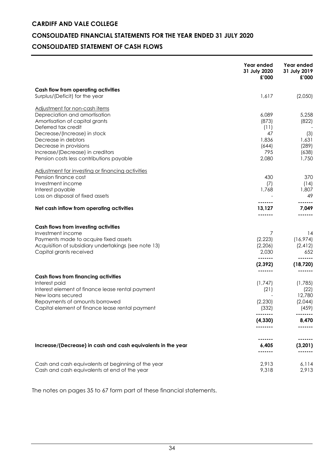### **CONSOLIDATED FINANCIAL STATEMENTS FOR THE YEAR ENDED 31 JULY 2020**

### **CONSOLIDATED STATEMENT OF CASH FLOWS**

|                                                                       | Year ended<br>31 July 2020<br>£'000 | Year ended<br>31 July 2019<br>£'000 |
|-----------------------------------------------------------------------|-------------------------------------|-------------------------------------|
| Cash flow from operating activities                                   |                                     |                                     |
| Surplus/(Deficit) for the year                                        | 1,617                               | (2,050)                             |
| Adjustment for non-cash items                                         |                                     |                                     |
| Depreciation and amortisation                                         | 6,089                               | 5,258                               |
| Amortisation of capital grants                                        | (873)                               | (822)                               |
| Deferred tax credit<br>Decrease/(Increase) in stock                   | (11)<br>47                          | (3)                                 |
| Decrease in debtors                                                   | 1,836                               | 1.631                               |
| Decrease in provisions                                                | (644)                               | (289)                               |
| Increase/(Decrease) in creditors                                      | 795                                 | (638)                               |
| Pension costs less contributions payable                              | 2,080                               | 1,750                               |
| Adjustment for investing or financing activities                      |                                     |                                     |
| Pension finance cost                                                  | 430                                 | 370                                 |
| Investment income                                                     | (7)                                 | (14)                                |
| Interest payable                                                      | 1,768                               | 1,807                               |
| Loss on disposal of fixed assets                                      |                                     | 49                                  |
| Net cash inflow from operating activities                             | 13,127                              | 7,049                               |
|                                                                       |                                     |                                     |
| <b>Cash flows from investing activities</b><br>Investment income      | 7                                   | 14                                  |
| Payments made to acquire fixed assets                                 | (2,223)                             | (16,974)                            |
| Acquisition of subsidiary undertakings (see note 13)                  | (2,206)                             | (2, 412)                            |
| Capital grants received                                               | 2,030                               | 652                                 |
|                                                                       | (2, 392)                            | (18, 720)                           |
|                                                                       |                                     |                                     |
| <b>Cash flows from financing activities</b>                           |                                     |                                     |
| Interest paid                                                         | (1,747)                             | (1,785)                             |
| Interest element of finance lease rental payment<br>New loans secured | (21)                                | (22)<br>12,780                      |
| Repayments of amounts borrowed                                        | (2, 230)                            | (2,044)                             |
| Capital element of finance lease rental payment                       | (332)                               | (459)                               |
|                                                                       | (4, 330)                            | 8,470                               |
|                                                                       |                                     |                                     |
|                                                                       |                                     |                                     |
| Increase/(Decrease) in cash and cash equivalents in the year          | 6,405<br>                           | (3, 201)                            |
| Cash and cash equivalents at beginning of the year                    | 2,913                               | 6,114                               |
| Cash and cash equivalents at end of the year                          | 9,318                               | 2,913                               |

The notes on pages 35 to 67 form part of these financial statements.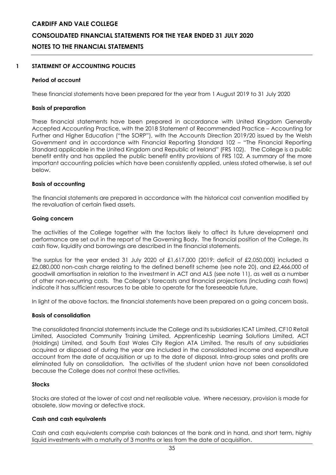### **1 STATEMENT OF ACCOUNTING POLICIES**

### **Period of account**

These financial statements have been prepared for the year from 1 August 2019 to 31 July 2020

### **Basis of preparation**

These financial statements have been prepared in accordance with United Kingdom Generally Accepted Accounting Practice, with the 2018 Statement of Recommended Practice – Accounting for Further and Higher Education ("the SORP"), with the Accounts Direction 2019/20 issued by the Welsh Government and in accordance with Financial Reporting Standard 102 – "The Financial Reporting Standard applicable in the United Kingdom and Republic of Ireland" (FRS 102). The College is a public benefit entity and has applied the public benefit entity provisions of FRS 102. A summary of the more important accounting policies which have been consistently applied, unless stated otherwise, is set out below.

#### **Basis of accounting**

The financial statements are prepared in accordance with the historical cost convention modified by the revaluation of certain fixed assets.

#### **Going concern**

The activities of the College together with the factors likely to affect its future development and performance are set out in the report of the Governing Body. The financial position of the College, its cash flow, liquidity and borrowings are described in the financial statements.

The surplus for the year ended 31 July 2020 of £1,617,000 (2019: deficit of £2,050,000) included a £2,080,000 non-cash charge relating to the defined benefit scheme (see note 20), and £2,466,000 of goodwill amortisation in relation to the investment in ACT and ALS (see note 11), as well as a number of other non-recurring costs. The College's forecasts and financial projections (including cash flows) indicate it has sufficient resources to be able to operate for the foreseeable future.

In light of the above factors, the financial statements have been prepared on a going concern basis.

### **Basis of consolidation**

The consolidated financial statements include the College and its subsidiaries ICAT Limited, CF10 Retail Limited, Associated Community Training Limited, Apprenticeship Learning Solutions Limited, ACT (Holdings) Limited, and South East Wales City Region ATA Limited. The results of any subsidiaries acquired or disposed of during the year are included in the consolidated income and expenditure account from the date of acquisition or up to the date of disposal. Intra-group sales and profits are eliminated fully on consolidation. The activities of the student union have not been consolidated because the College does not control these activities.

### **Stocks**

Stocks are stated at the lower of cost and net realisable value. Where necessary, provision is made for obsolete, slow moving or defective stock.

### **Cash and cash equivalents**

Cash and cash equivalents comprise cash balances at the bank and in hand, and short term, highly liquid investments with a maturity of 3 months or less from the date of acquisition.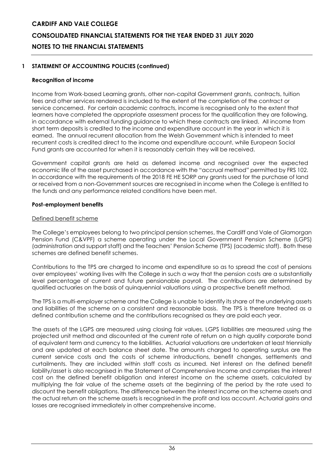### **1 STATEMENT OF ACCOUNTING POLICIES (continued)**

### **Recognition of income**

Income from Work-based Learning grants, other non-capital Government grants, contracts, tuition fees and other services rendered is included to the extent of the completion of the contract or service concerned. For certain academic contracts, income is recognised only to the extent that learners have completed the appropriate assessment process for the qualification they are following, in accordance with external funding guidance to which these contracts are linked. All income from short term deposits is credited to the income and expenditure account in the year in which it is earned. The annual recurrent allocation from the Welsh Government which is intended to meet recurrent costs is credited direct to the income and expenditure account, while European Social Fund grants are accounted for when it is reasonably certain they will be received.

Government capital grants are held as deferred income and recognised over the expected economic life of the asset purchased in accordance with the "accrual method" permitted by FRS 102. In accordance with the requirements of the 2018 FE HE SORP any grants used for the purchase of land or received from a non-Government sources are recognised in income when the College is entitled to the funds and any performance related conditions have been met.

### **Post-employment benefits**

### Defined benefit scheme

The College's employees belong to two principal pension schemes, the Cardiff and Vale of Glamorgan Pension Fund (C&VPF) a scheme operating under the Local Government Pension Scheme (LGPS) (administration and support staff) and the Teachers' Pension Scheme (TPS) (academic staff). Both these schemes are defined benefit schemes.

Contributions to the TPS are charged to income and expenditure so as to spread the cost of pensions over employees' working lives with the College in such a way that the pension costs are a substantially level percentage of current and future pensionable payroll. The contributions are determined by qualified actuaries on the basis of quinquennial valuations using a prospective benefit method.

The TPS is a multi-employer scheme and the College is unable to identify its share of the underlying assets and liabilities of the scheme on a consistent and reasonable basis. The TPS is therefore treated as a defined contribution scheme and the contributions recognised as they are paid each year.

The assets of the LGPS are measured using closing fair values. LGPS liabilities are measured using the projected unit method and discounted at the current rate of return on a high quality corporate bond of equivalent term and currency to the liabilities. Actuarial valuations are undertaken at least triennially and are updated at each balance sheet date. The amounts charged to operating surplus are the current service costs and the costs of scheme introductions, benefit changes, settlements and curtailments. They are included within staff costs as incurred. Net interest on the defined benefit liability/asset is also recognised in the Statement of Comprehensive Income and comprises the interest cost on the defined benefit obligation and interest income on the scheme assets, calculated by multiplying the fair value of the scheme assets at the beginning of the period by the rate used to discount the benefit obligations. The difference between the interest income on the scheme assets and the actual return on the scheme assets is recognised in the profit and loss account. Actuarial gains and losses are recognised immediately in other comprehensive income.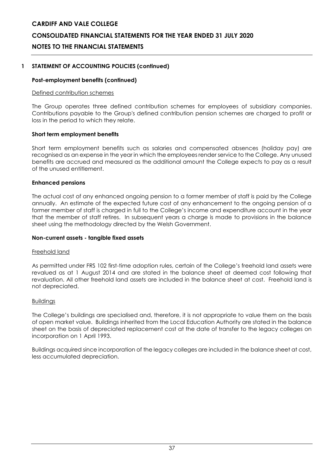### **CONSOLIDATED FINANCIAL STATEMENTS FOR THE YEAR ENDED 31 JULY 2020**

### **NOTES TO THE FINANCIAL STATEMENTS**

### **1 STATEMENT OF ACCOUNTING POLICIES (continued)**

### **Post-employment benefits (continued)**

### Defined contribution schemes

The Group operates three defined contribution schemes for employees of subsidiary companies. Contributions payable to the Group's defined contribution pension schemes are charged to profit or loss in the period to which they relate.

### **Short term employment benefits**

Short term employment benefits such as salaries and compensated absences (holiday pay) are recognised as an expense in the year in which the employees render service to the College. Any unused benefits are accrued and measured as the additional amount the College expects to pay as a result of the unused entitlement.

### **Enhanced pensions**

The actual cost of any enhanced ongoing pension to a former member of staff is paid by the College annually. An estimate of the expected future cost of any enhancement to the ongoing pension of a former member of staff is charged in full to the College's income and expenditure account in the year that the member of staff retires. In subsequent years a charge is made to provisions in the balance sheet using the methodology directed by the Welsh Government.

### **Non-current assets - tangible fixed assets**

### Freehold land

As permitted under FRS 102 first-time adoption rules, certain of the College's freehold land assets were revalued as at 1 August 2014 and are stated in the balance sheet at deemed cost following that revaluation. All other freehold land assets are included in the balance sheet at cost. Freehold land is not depreciated.

### Buildings

The College's buildings are specialised and, therefore, it is not appropriate to value them on the basis of open market value. Buildings inherited from the Local Education Authority are stated in the balance sheet on the basis of depreciated replacement cost at the date of transfer to the legacy colleges on incorporation on 1 April 1993.

Buildings acquired since incorporation of the legacy colleges are included in the balance sheet at cost, less accumulated depreciation.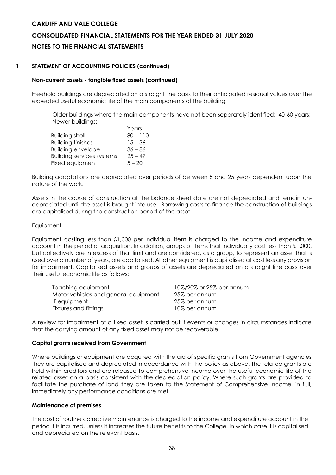### **CONSOLIDATED FINANCIAL STATEMENTS FOR THE YEAR ENDED 31 JULY 2020**

### **NOTES TO THE FINANCIAL STATEMENTS**

### **1 STATEMENT OF ACCOUNTING POLICIES (continued)**

### **Non-current assets - tangible fixed assets (continued)**

Freehold buildings are depreciated on a straight line basis to their anticipated residual values over the expected useful economic life of the main components of the building:

- Older buildings where the main components have not been separately identified: 40-60 years;
- Newer buildings:

|                                  | Years      |
|----------------------------------|------------|
| <b>Building shell</b>            | $80 - 110$ |
| <b>Building finishes</b>         | $15 - 36$  |
| <b>Building envelope</b>         | $36 - 86$  |
| <b>Building services systems</b> | $25 - 47$  |
| Fixed equipment                  | $5 - 20$   |
|                                  |            |

Building adaptations are depreciated over periods of between 5 and 25 years dependent upon the nature of the work.

Assets in the course of construction at the balance sheet date are not depreciated and remain undepreciated until the asset is brought into use. Borrowing costs to finance the construction of buildings are capitalised during the construction period of the asset.

### **Equipment**

Equipment costing less than £1,000 per individual item is charged to the income and expenditure account in the period of acquisition. In addition, groups of items that individually cost less than £1,000, but collectively are in excess of that limit and are considered, as a group, to represent an asset that is used over a number of years, are capitalised. All other equipment is capitalised at cost less any provision for impairment. Capitalised assets and groups of assets are depreciated on a straight line basis over their useful economic life as follows:

| Teaching equipment                   | 10%/20% or 25% per annum |
|--------------------------------------|--------------------------|
| Motor vehicles and general equipment | 25% per annum            |
| IT equipment                         | 25% per annum            |
| Fixtures and fittings                | 10% per annum            |

A review for impairment of a fixed asset is carried out if events or changes in circumstances indicate that the carrying amount of any fixed asset may not be recoverable.

### **Capital grants received from Government**

Where buildings or equipment are acquired with the aid of specific grants from Government agencies they are capitalised and depreciated in accordance with the policy as above. The related grants are held within creditors and are released to comprehensive income over the useful economic life of the related asset on a basis consistent with the depreciation policy. Where such grants are provided to facilitate the purchase of land they are taken to the Statement of Comprehensive Income, in full, immediately any performance conditions are met.

### **Maintenance of premises**

The cost of routine corrective maintenance is charged to the income and expenditure account in the period it is incurred, unless it increases the future benefits to the College, in which case it is capitalised and depreciated on the relevant basis.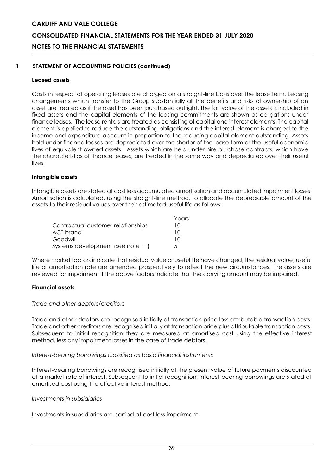### **1 STATEMENT OF ACCOUNTING POLICIES (continued)**

### **Leased assets**

Costs in respect of operating leases are charged on a straight-line basis over the lease term. Leasing arrangements which transfer to the Group substantially all the benefits and risks of ownership of an asset are treated as if the asset has been purchased outright. The fair value of the assets is included in fixed assets and the capital elements of the leasing commitments are shown as obligations under finance leases. The lease rentals are treated as consisting of capital and interest elements. The capital element is applied to reduce the outstanding obligations and the interest element is charged to the income and expenditure account in proportion to the reducing capital element outstanding. Assets held under finance leases are depreciated over the shorter of the lease term or the useful economic lives of equivalent owned assets. Assets which are held under hire purchase contracts, which have the characteristics of finance leases, are treated in the same way and depreciated over their useful lives.

### **Intangible assets**

Intangible assets are stated at cost less accumulated amortisation and accumulated impairment losses. Amortisation is calculated, using the straight-line method, to allocate the depreciable amount of the assets to their residual values over their estimated useful life as follows:

|                                    | Years |
|------------------------------------|-------|
| Contractual customer relationships | 10    |
| ACT brand                          | 10    |
| Goodwill                           | 10    |
| Systems development (see note 11)  | 5     |

Where market factors indicate that residual value or useful life have changed, the residual value, useful life or amortisation rate are amended prospectively to reflect the new circumstances. The assets are reviewed for impairment if the above factors indicate that the carrying amount may be impaired.

### **Financial assets**

### *Trade and other debtors/creditors*

Trade and other debtors are recognised initially at transaction price less attributable transaction costs. Trade and other creditors are recognised initially at transaction price plus attributable transaction costs. Subsequent to initial recognition they are measured at amortised cost using the effective interest method, less any impairment losses in the case of trade debtors.

### *Interest-bearing borrowings classified as basic financial instruments*

Interest-bearing borrowings are recognised initially at the present value of future payments discounted at a market rate of interest. Subsequent to initial recognition, interest-bearing borrowings are stated at amortised cost using the effective interest method.

### *Investments in subsidiaries*

Investments in subsidiaries are carried at cost less impairment.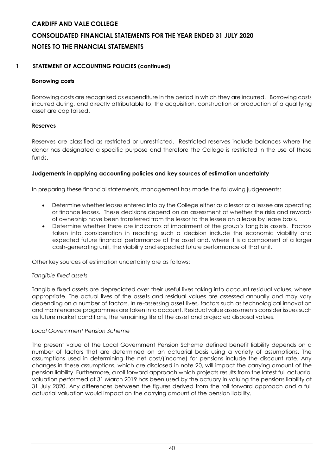### **1 STATEMENT OF ACCOUNTING POLICIES (continued)**

### **Borrowing costs**

Borrowing costs are recognised as expenditure in the period in which they are incurred. Borrowing costs incurred during, and directly attributable to, the acquisition, construction or production of a qualifying asset are capitalised.

### **Reserves**

Reserves are classified as restricted or unrestricted. Restricted reserves include balances where the donor has designated a specific purpose and therefore the College is restricted in the use of these funds.

### **Judgements in applying accounting policies and key sources of estimation uncertainty**

In preparing these financial statements, management has made the following judgements:

- Determine whether leases entered into by the College either as a lessor or a lessee are operating or finance leases. These decisions depend on an assessment of whether the risks and rewards of ownership have been transferred from the lessor to the lessee on a lease by lease basis.
- Determine whether there are indicators of impairment of the group's tangible assets. Factors taken into consideration in reaching such a decision include the economic viability and expected future financial performance of the asset and, where it is a component of a larger cash-generating unit, the viability and expected future performance of that unit.

Other key sources of estimation uncertainty are as follows:

### *Tangible fixed assets*

Tangible fixed assets are depreciated over their useful lives taking into account residual values, where appropriate. The actual lives of the assets and residual values are assessed annually and may vary depending on a number of factors. In re-assessing asset lives, factors such as technological innovation and maintenance programmes are taken into account. Residual value assessments consider issues such as future market conditions, the remaining life of the asset and projected disposal values.

### *Local Government Pension Scheme*

The present value of the Local Government Pension Scheme defined benefit liability depends on a number of factors that are determined on an actuarial basis using a variety of assumptions. The assumptions used in determining the net cost/(income) for pensions include the discount rate. Any changes in these assumptions, which are disclosed in note 20, will impact the carrying amount of the pension liability. Furthermore, a roll forward approach which projects results from the latest full actuarial valuation performed at 31 March 2019 has been used by the actuary in valuing the pensions liability at 31 July 2020. Any differences between the figures derived from the roll forward approach and a full actuarial valuation would impact on the carrying amount of the pension liability.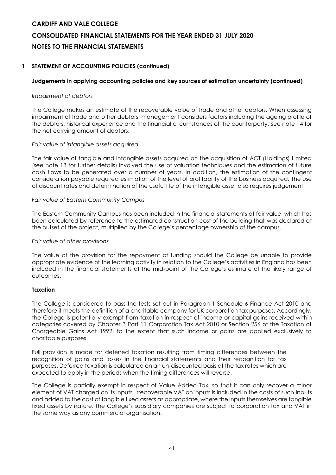### **1 STATEMENT OF ACCOUNTING POLICIES (continued)**

### **Judgements in applying accounting policies and key sources of estimation uncertainty (continued)**

### *Impairment of debtors*

The College makes an estimate of the recoverable value of trade and other debtors. When assessing impairment of trade and other debtors, management considers factors including the ageing profile of the debtors, historical experience and the financial circumstances of the counterparty. See note 14 for the net carrying amount of debtors.

### *Fair value of intangible assets acquired*

The fair value of tangible and intangible assets acquired on the acquisition of ACT (Holdings) Limited (see note 13 for further details) involved the use of valuation techniques and the estimation of future cash flows to be generated over a number of years. In addition, the estimation of the contingent consideration payable required estimation of the level of profitability of the business acquired. The use of discount rates and determination of the useful life of the intangible asset also requires judgement.

### *Fair value of Eastern Community Campus*

The Eastern Community Campus has been included in the financial statements at fair value, which has been calculated by reference to the estimated construction cost of the building that was declared at the outset of the project, multiplied by the College's percentage ownership of the campus.

### *Fair value of other provisions*

The value of the provision for the repayment of funding should the College be unable to provide appropriate evidence of the learning activity in relation to the College's activities in England has been included in the financial statements at the mid-point of the College's estimate of the likely range of outcomes.

### **Taxation**

The College is considered to pass the tests set out in Paragraph 1 Schedule 6 Finance Act 2010 and therefore it meets the definition of a charitable company for UK corporation tax purposes. Accordingly, the College is potentially exempt from taxation in respect of income or capital gains received within categories covered by Chapter 3 Part 11 Corporation Tax Act 2010 or Section 256 of the Taxation of Chargeable Gains Act 1992, to the extent that such income or gains are applied exclusively to charitable purposes.

Full provision is made for deferred taxation resulting from timing differences between the recognition of gains and losses in the financial statements and their recognition for tax purposes. Deferred taxation is calculated on an un-discounted basis at the tax rates which are expected to apply in the periods when the timing differences will reverse.

The College is partially exempt in respect of Value Added Tax, so that it can only recover a minor element of VAT charged on its inputs. Irrecoverable VAT on inputs is included in the costs of such inputs and added to the cost of tangible fixed assets as appropriate, where the inputs themselves are tangible fixed assets by nature. The College's subsidiary companies are subject to corporation tax and VAT in the same way as any commercial organisation.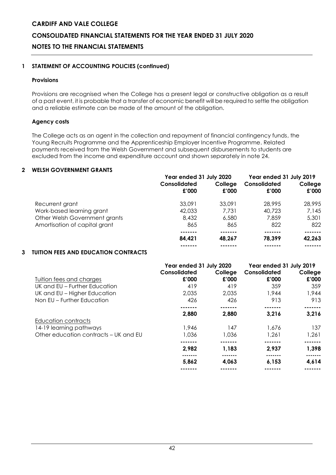### **CONSOLIDATED FINANCIAL STATEMENTS FOR THE YEAR ENDED 31 JULY 2020**

### **NOTES TO THE FINANCIAL STATEMENTS**

### **1 STATEMENT OF ACCOUNTING POLICIES (continued)**

### **Provisions**

Provisions are recognised when the College has a present legal or constructive obligation as a result of a past event, it is probable that a transfer of economic benefit will be required to settle the obligation and a reliable estimate can be made of the amount of the obligation.

### **Agency costs**

The College acts as an agent in the collection and repayment of financial contingency funds, the Young Recruits Programme and the Apprenticeship Employer Incentive Programme. Related payments received from the Welsh Government and subsequent disbursements to students are excluded from the income and expenditure account and shown separately in note 24.

### **2 WELSH GOVERNMENT GRANTS**

|                               | Year ended 31 July 2020 |                  | Year ended 31 July 2019 |                  |
|-------------------------------|-------------------------|------------------|-------------------------|------------------|
|                               | Consolidated<br>£'000   | College<br>£'000 | Consolidated<br>£'000   | College<br>£'000 |
| Recurrent grant               | 33,091                  | 33,091           | 28.995                  | 28,995           |
| Work-based learning grant     | 42,033                  | 7.731            | 40,723                  | 7,145            |
| Other Welsh Government grants | 8,432                   | 6,580            | 7,859                   | 5,301            |
| Amortisation of capital grant | 865                     | 865              | 822                     | 822              |
|                               |                         |                  |                         |                  |
|                               | 84,421                  | 48.267           | 78.399                  | 42,263           |
|                               |                         |                  |                         |                  |

### **3 TUITION FEES AND EDUCATION CONTRACTS**

|                                       | Year ended 31 July 2020<br>Consolidated |                  | Year ended 31 July 2019<br>Consolidated |                  |  |
|---------------------------------------|-----------------------------------------|------------------|-----------------------------------------|------------------|--|
| <b>Tuition fees and charges</b>       | £'000                                   | College<br>£'000 | £'000                                   | College<br>£'000 |  |
| UK and EU – Further Education         | 419                                     | 419              | 359                                     | 359              |  |
| UK and EU - Higher Education          | 2,035                                   | 2,035            | 1,944                                   | 1,944            |  |
| Non EU – Further Education            | 426                                     | 426              | 913                                     | 913              |  |
|                                       |                                         |                  |                                         |                  |  |
|                                       | 2,880                                   | 2,880            | 3,216                                   | 3,216            |  |
| Education contracts                   |                                         |                  |                                         |                  |  |
| 14-19 learning pathways               | 1,946                                   | 147              | 1,676                                   | 137              |  |
| Other education contracts - UK and EU | 1,036                                   | 1,036            | 1,261                                   | 1,261            |  |
|                                       |                                         |                  |                                         |                  |  |
|                                       | 2,982                                   | 1,183            | 2,937                                   | 1,398            |  |
|                                       | -------                                 |                  |                                         | .                |  |
|                                       | 5,862                                   | 4,063            | 6,153                                   | 4,614            |  |
|                                       |                                         |                  |                                         |                  |  |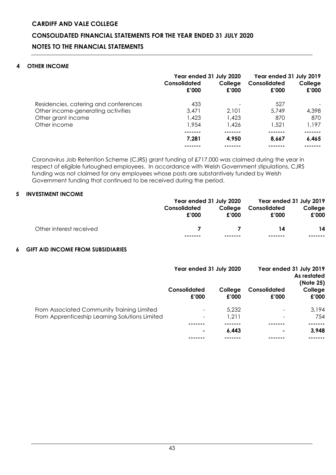### **4 OTHER INCOME**

|                                                                             | Year ended 31 July 2020<br>Consolidated<br>£'000 | College<br>£'000 | Year ended 31 July 2019<br>Consolidated<br>£'000 | College<br>£'000 |
|-----------------------------------------------------------------------------|--------------------------------------------------|------------------|--------------------------------------------------|------------------|
| Residencies, catering and conferences<br>Other income-generating activities | 433<br>3.471                                     | 2.101            | 527<br>5.749                                     | 4,398            |
| Other grant income                                                          | 1,423                                            | 1,423            | 870                                              | 870              |
| Other income                                                                | 1,954                                            | 1,426            | 1.521                                            | 1.197            |
|                                                                             |                                                  |                  |                                                  |                  |
|                                                                             | 7.281                                            | 4.950            | 8.667                                            | 6,465            |
|                                                                             |                                                  |                  |                                                  |                  |

Coronavirus Job Retention Scheme (CJRS) grant funding of £717,000 was claimed during the year in respect of eligible furloughed employees. In accordance with Welsh Government stipulations, CJRS funding was not claimed for any employees whose posts are substantively funded by Welsh Government funding that continued to be received during the period.

### **5 INVESTMENT INCOME**

|                         |                       |                | Year ended 31 July 2020 Year ended 31 July 2019 |                  |
|-------------------------|-----------------------|----------------|-------------------------------------------------|------------------|
|                         | Consolidated<br>£'000 | £'000          | College Consolidated<br>£'000                   | College<br>£'000 |
| Other interest received | -------               | $\overline{7}$ | 14                                              | 14<br>-------    |

### **6 GIFT AID INCOME FROM SUBSIDIARIES**

|                                                                                              | Year ended 31 July 2020  |                  |                       | Year ended 31 July 2019<br>As restated<br>(Note 25) |
|----------------------------------------------------------------------------------------------|--------------------------|------------------|-----------------------|-----------------------------------------------------|
|                                                                                              | Consolidated<br>£'000    | College<br>£'000 | Consolidated<br>£'000 | College<br>£'000                                    |
| From Associated Community Training Limited<br>From Apprenticeship Learning Solutions Limited |                          | 5,232<br>1,211   |                       | 3,194<br>754                                        |
|                                                                                              | $\overline{\phantom{a}}$ |                  |                       |                                                     |
|                                                                                              |                          | 6.443            |                       | 3,948                                               |
|                                                                                              |                          |                  |                       |                                                     |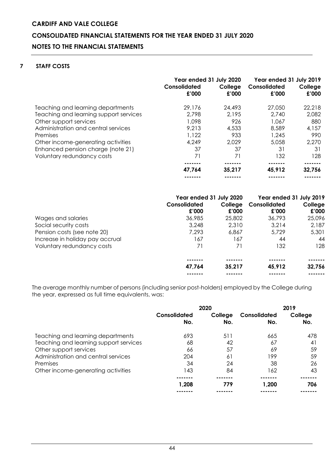### **7 STAFF COSTS**

|                                        | Year ended 31 July 2020<br>Consolidated<br>£'000 | College<br>£'000 | Year ended 31 July 2019<br>Consolidated<br>£'000 | College<br>£'000 |
|----------------------------------------|--------------------------------------------------|------------------|--------------------------------------------------|------------------|
| Teaching and learning departments      | 29,176                                           | 24,493           | 27,050                                           | 22,218           |
| Teaching and learning support services | 2.798                                            | 2.195            | 2.740                                            | 2,082            |
| Other support services                 | 1.098                                            | 926              | 1,067                                            | 880              |
| Administration and central services    | 9.213                                            | 4,533            | 8.589                                            | 4.157            |
| Premises                               | 1.122                                            | 933              | 1.245                                            | 990              |
| Other income-generating activities     | 4.249                                            | 2,029            | 5,058                                            | 2.270            |
| Enhanced pension charge (note 21)      | 37                                               | 37               | 31                                               | 31               |
| Voluntary redundancy costs             | 71                                               | 71               | 132                                              | 128              |
|                                        |                                                  |                  |                                                  |                  |
|                                        | 47.764                                           | 35,217           | 45,912                                           | 32,756           |
|                                        |                                                  |                  |                                                  |                  |

|                                 | Year ended 31 July 2020 |         | Year ended 31 July 2019 |         |
|---------------------------------|-------------------------|---------|-------------------------|---------|
|                                 | Consolidated            | College | Consolidated            | College |
|                                 | £'000                   | £'000   | £'000                   | £'000   |
| Wages and salaries              | 36,985                  | 25,802  | 36,793                  | 25,096  |
| Social security costs           | 3.248                   | 2,310   | 3,214                   | 2,187   |
| Pension costs (see note 20)     | 7.293                   | 6,867   | 5,729                   | 5,301   |
| Increase in holiday pay accrual | 167                     | 167     | 44                      | 44      |
| Voluntary redundancy costs      | 71                      | 71      | 132                     | 128     |
|                                 |                         |         |                         |         |
|                                 | 47,764                  | 35,217  | 45,912                  | 32,756  |
|                                 |                         |         |                         |         |

The average monthly number of persons (including senior post-holders) employed by the College during the year, expressed as full time equivalents, was:

|                                        | 2020                |                |                     | 2019           |  |
|----------------------------------------|---------------------|----------------|---------------------|----------------|--|
|                                        | Consolidated<br>No. | College<br>No. | Consolidated<br>No. | College<br>No. |  |
| Teaching and learning departments      | 693                 | 511            | 665                 | 478            |  |
| Teaching and learning support services | 68                  | 42             | 67                  | 41             |  |
| Other support services                 | 66                  | 57             | 69                  | 59             |  |
| Administration and central services    | 204                 | 61             | 199                 | 59             |  |
| Premises                               | 34                  | 24             | 38                  | 26             |  |
| Other income-generating activities     | 143                 | 84             | 162                 | 43             |  |
|                                        |                     |                |                     |                |  |
|                                        | 1,208               | 779            | 1,200               | 706            |  |
|                                        |                     |                |                     |                |  |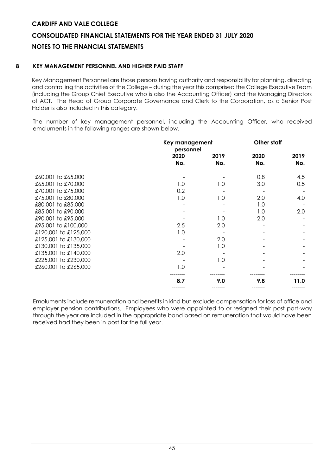### **CONSOLIDATED FINANCIAL STATEMENTS FOR THE YEAR ENDED 31 JULY 2020**

### **NOTES TO THE FINANCIAL STATEMENTS**

### **8 KEY MANAGEMENT PERSONNEL AND HIGHER PAID STAFF**

Key Management Personnel are those persons having authority and responsibility for planning, directing and controlling the activities of the College – during the year this comprised the College Executive Team (including the Group Chief Executive who is also the Accounting Officer) and the Managing Directors of ACT. The Head of Group Corporate Governance and Clerk to the Corporation, as a Senior Post Holder is also included in this category.

The number of key management personnel, including the Accounting Officer, who received emoluments in the following ranges are shown below.

|                      |             | Key management<br>personnel |             | Other staff |
|----------------------|-------------|-----------------------------|-------------|-------------|
|                      | 2020<br>No. | 2019<br>No.                 | 2020<br>No. | 2019<br>No. |
| £60,001 to £65,000   |             |                             | 0.8         | 4.5         |
| £65,001 to £70,000   | 1.0         | 1.0                         | 3.0         | 0.5         |
| £70,001 to £75,000   | 0.2         |                             |             |             |
| £75,001 to £80,000   | 1.0         | 1.0                         | 2.0         | 4.0         |
| £80,001 to £85,000   |             |                             | 1.0         |             |
| £85,001 to £90,000   |             |                             | 1.0         | 2.0         |
| £90,001 to £95,000   |             | 1.0                         | 2.0         |             |
| £95,001 to £100,000  | 2.5         | 2.0                         |             |             |
| £120,001 to £125,000 | 1.0         |                             |             |             |
| £125,001 to £130,000 |             | 2.0                         |             |             |
| £130,001 to £135,000 |             | 1.0                         |             |             |
| £135,001 to £140,000 | 2.0         |                             |             |             |
| £225,001 to £230,000 |             | 1.0                         |             |             |
| £260,001 to £265,000 | 1.0         |                             |             |             |
|                      | 8.7         | 9.0                         | 9.8         | 11.0        |
|                      |             |                             |             |             |

Emoluments include remuneration and benefits in kind but exclude compensation for loss of office and employer pension contributions. Employees who were appointed to or resigned their post part-way through the year are included in the appropriate band based on remuneration that would have been received had they been in post for the full year.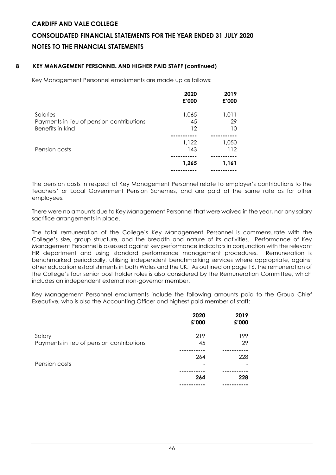### **8 KEY MANAGEMENT PERSONNEL AND HIGHER PAID STAFF (continued)**

Key Management Personnel emoluments are made up as follows:

|                                           | 2020<br>£'000 | 2019<br>£'000 |
|-------------------------------------------|---------------|---------------|
| Salaries                                  | 1,065         | 1,011         |
| Payments in lieu of pension contributions | 45            | 29            |
| Benefits in kind                          | 12            | 10            |
|                                           |               |               |
|                                           | 1,122         | 1,050         |
| Pension costs                             | 143           | 112           |
|                                           |               |               |
|                                           | 1,265         | 1,161         |
|                                           |               |               |

The pension costs in respect of Key Management Personnel relate to employer's contributions to the Teachers' or Local Government Pension Schemes, and are paid at the same rate as for other employees.

There were no amounts due to Key Management Personnel that were waived in the year, nor any salary sacrifice arrangements in place.

The total remuneration of the College's Key Management Personnel is commensurate with the College's size, group structure, and the breadth and nature of its activities. Performance of Key Management Personnel is assessed against key performance indicators in conjunction with the relevant HR department and using standard performance management procedures. Remuneration is benchmarked periodically, utilising independent benchmarking services where appropriate, against other education establishments in both Wales and the UK. As outlined on page 16, the remuneration of the College's four senior post holder roles is also considered by the Remuneration Committee, which includes an independent external non-governor member.

Key Management Personnel emoluments include the following amounts paid to the Group Chief Executive, who is also the Accounting Officer and highest paid member of staff:

|                                                     | 2020<br>£'000 | 2019<br>£'000 |
|-----------------------------------------------------|---------------|---------------|
| Salary<br>Payments in lieu of pension contributions | 219<br>45     | 199<br>29     |
| Pension costs                                       | 264<br>-      | 228           |
|                                                     | 264           | 228           |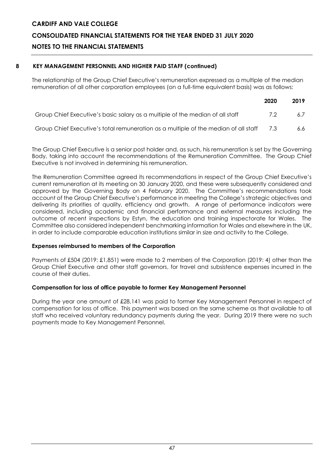### **8 KEY MANAGEMENT PERSONNEL AND HIGHER PAID STAFF (continued)**

The relationship of the Group Chief Executive's remuneration expressed as a multiple of the median remuneration of all other corporation employees (on a full-time equivalent basis) was as follows:

|                                                                                         | 2020 | 2019 |
|-----------------------------------------------------------------------------------------|------|------|
| Group Chief Executive's basic salary as a multiple of the median of all staff           | -7.2 | 67   |
| Group Chief Executive's total remuneration as a multiple of the median of all staff 7.3 |      | 6.6  |

The Group Chief Executive is a senior post holder and, as such, his remuneration is set by the Governing Body, taking into account the recommendations of the Remuneration Committee. The Group Chief Executive is not involved in determining his remuneration.

The Remuneration Committee agreed its recommendations in respect of the Group Chief Executive's current remuneration at its meeting on 30 January 2020, and these were subsequently considered and approved by the Governing Body on 4 February 2020. The Committee's recommendations took account of the Group Chief Executive's performance in meeting the College's strategic objectives and delivering its priorities of quality, efficiency and growth. A range of performance indicators were considered, including academic and financial performance and external measures including the outcome of recent inspections by Estyn, the education and training inspectorate for Wales. The Committee also considered independent benchmarking information for Wales and elsewhere in the UK, in order to include comparable education institutions similar in size and activity to the College.

### **Expenses reimbursed to members of the Corporation**

Payments of £504 (2019: £1,851) were made to 2 members of the Corporation (2019: 4) other than the Group Chief Executive and other staff governors, for travel and subsistence expenses incurred in the course of their duties.

### **Compensation for loss of office payable to former Key Management Personnel**

During the year one amount of £28,141 was paid to former Key Management Personnel in respect of compensation for loss of office. This payment was based on the same scheme as that available to all staff who received voluntary redundancy payments during the year. During 2019 there were no such payments made to Key Management Personnel.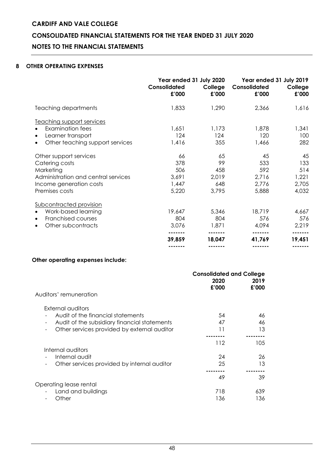### **8 OTHER OPERATING EXPENSES**

|                                                                                                                                           | Year ended 31 July 2020<br><b>Consolidated</b><br>£'000 | College<br>£'000                         | Year ended 31 July 2019<br>Consolidated<br>£'000 | College<br>£'000                            |
|-------------------------------------------------------------------------------------------------------------------------------------------|---------------------------------------------------------|------------------------------------------|--------------------------------------------------|---------------------------------------------|
| Teaching departments                                                                                                                      | 1,833                                                   | 1,290                                    | 2,366                                            | 1,616                                       |
| Teaching support services<br><b>Examination fees</b><br>Learner transport<br>Other teaching support services                              | 1,651<br>124<br>1,416                                   | 1,173<br>124<br>355                      | 1,878<br>120<br>1,466                            | 1,341<br>100<br>282                         |
| Other support services<br>Catering costs<br>Marketing<br>Administration and central services<br>Income generation costs<br>Premises costs | 66<br>378<br>506<br>3,691<br>1,447<br>5,220             | 65<br>99<br>458<br>2,019<br>648<br>3,795 | 45<br>533<br>592<br>2,716<br>2,776<br>5,888      | 45<br>133<br>514<br>1,221<br>2,705<br>4,032 |
| Subcontracted provision<br>Work-based learning<br>Franchised courses<br>$\bullet$<br>Other subcontracts                                   | 19,647<br>804<br>3,076<br>39,859                        | 5,346<br>804<br>1,871<br>18,047          | 18,719<br>576<br>4,094<br>41,769                 | 4,667<br>576<br>2,219<br>19,451             |
|                                                                                                                                           |                                                         |                                          |                                                  |                                             |

### **Other operating expenses include:**

|                                                                          | <b>Consolidated and College</b><br>2020<br>£'000 | 2019<br>£'000 |
|--------------------------------------------------------------------------|--------------------------------------------------|---------------|
| Auditors' remuneration                                                   |                                                  |               |
| External auditors                                                        |                                                  |               |
| Audit of the financial statements                                        | 54                                               | 46            |
| Audit of the subsidiary financial statements<br>$\overline{\phantom{a}}$ | 47                                               | 46            |
| Other services provided by external auditor<br>$\overline{\phantom{a}}$  | 11                                               | 13            |
|                                                                          |                                                  |               |
|                                                                          | 112                                              | 105.          |
| Internal auditors                                                        |                                                  |               |
| Internal audit<br>$\overline{\phantom{a}}$                               | 24                                               | 26            |
| Other services provided by internal auditor<br>$\overline{\phantom{a}}$  | 25                                               | 13            |
|                                                                          |                                                  |               |
|                                                                          | 49                                               | 39            |
| Operating lease rental                                                   |                                                  |               |
| Land and buildings                                                       | 718                                              | 639           |
| Other                                                                    | 136                                              | 136           |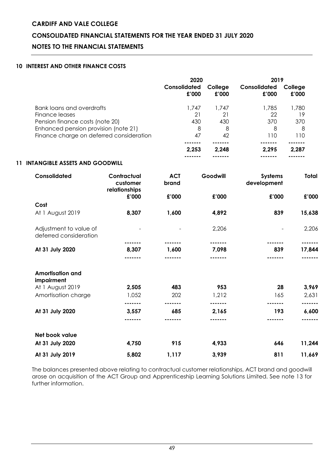### **10 INTEREST AND OTHER FINANCE COSTS**

|                                                  |                                          | 2020                |       | 2019             |                               |                   |
|--------------------------------------------------|------------------------------------------|---------------------|-------|------------------|-------------------------------|-------------------|
|                                                  |                                          | Consolidated        | £'000 | College<br>£'000 | Consolidated<br>£'000         | College<br>£'000  |
| <b>Bank loans and overdrafts</b>                 |                                          |                     | 1,747 | 1,747            | 1,785                         | 1,780             |
| Finance leases                                   |                                          |                     | 21    | 21               | 22                            | 19                |
| Pension finance costs (note 20)                  |                                          |                     | 430   | 430              | 370                           | 370               |
| Enhanced pension provision (note 21)             |                                          |                     | 8     | 8                | 8                             | 8                 |
| Finance charge on deferred consideration         |                                          |                     | 47    | 42               | 110                           | 110               |
|                                                  |                                          |                     | 2,253 | 2,248            | 2,295                         | 2,287             |
| 11 INTANGIBLE ASSETS AND GOODWILL                |                                          |                     |       |                  | -------                       |                   |
| Consolidated                                     | Contractual<br>customer<br>relationships | <b>ACT</b><br>brand |       | Goodwill         | <b>Systems</b><br>development | <b>Total</b>      |
|                                                  | £'000                                    | £'000               |       | £'000            | £'000                         | £'000             |
| Cost                                             |                                          |                     |       |                  |                               |                   |
| At 1 August 2019                                 | 8,307                                    | 1,600               |       | 4,892            | 839                           | 15,638            |
| Adjustment to value of<br>deferred consideration |                                          |                     |       | 2,206            |                               | 2,206             |
| At 31 July 2020                                  | 8,307                                    | 1,600               |       | .<br>7,098       | 839                           | -------<br>17,844 |
|                                                  |                                          |                     |       |                  |                               |                   |
| <b>Amortisation and</b><br>impairment            |                                          |                     |       |                  |                               |                   |
| At 1 August 2019                                 | 2,505                                    | 483                 |       | 953              | 28                            | 3,969             |
| Amortisation charge                              | 1,052                                    | 202                 |       | 1,212            | 165                           | 2,631             |
| At 31 July 2020                                  | -------<br>3,557                         | -------<br>685      |       | <br>2,165        | .<br>193                      | -------<br>6,600  |
|                                                  | -------                                  | -------             |       |                  |                               | -------           |
| Net book value                                   |                                          |                     |       |                  |                               |                   |
| At 31 July 2020                                  | 4,750                                    | 915                 |       | 4,933            | 646                           | 11,244            |
| At 31 July 2019                                  | 5,802                                    | 1,117               |       | 3,939            | 811                           | 11,669            |

The balances presented above relating to contractual customer relationships, ACT brand and goodwill arose on acquisition of the ACT Group and Apprenticeship Learning Solutions Limited. See note 13 for further information.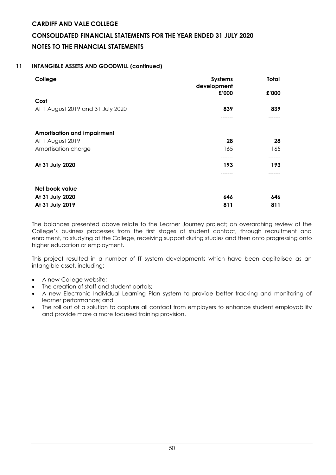### **11 INTANGIBLE ASSETS AND GOODWILL (continued)**

| College                            | <b>Systems</b><br>development | Total          |  |
|------------------------------------|-------------------------------|----------------|--|
|                                    | £'000                         | £'000          |  |
| Cost                               |                               |                |  |
| At 1 August 2019 and 31 July 2020  | 839                           | 839            |  |
|                                    | ------                        |                |  |
| <b>Amortisation and impairment</b> |                               |                |  |
| At 1 August 2019                   | 28                            | 28             |  |
| Amortisation charge                | 165                           | 165            |  |
| At 31 July 2020                    | 193                           | -------<br>193 |  |
|                                    |                               |                |  |
| Net book value                     |                               |                |  |
| At 31 July 2020                    | 646                           | 646            |  |
| At 31 July 2019                    | 811                           | 811            |  |

The balances presented above relate to the Learner Journey project; an overarching review of the College's business processes from the first stages of student contact, through recruitment and enrolment, to studying at the College, receiving support during studies and then onto progressing onto higher education or employment.

This project resulted in a number of IT system developments which have been capitalised as an intangible asset, including:

- A new College website;
- The creation of staff and student portals;
- A new Electronic Individual Learning Plan system to provide better tracking and monitoring of learner performance; and
- The roll out of a solution to capture all contact from employers to enhance student employability and provide more a more focused training provision.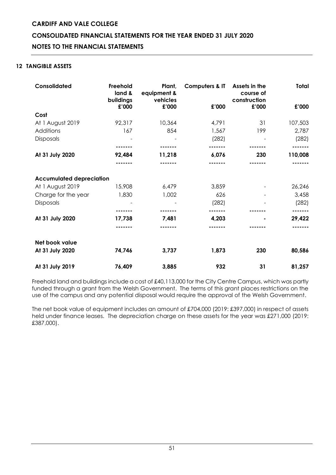### **CONSOLIDATED FINANCIAL STATEMENTS FOR THE YEAR ENDED 31 JULY 2020**

### **NOTES TO THE FINANCIAL STATEMENTS**

### **12 TANGIBLE ASSETS**

| Consolidated                    | Freehold<br>land &<br>buildings | Plant,<br>equipment &<br>vehicles | <b>Computers &amp; IT</b> | Assets in the<br>course of<br>construction | Total   |
|---------------------------------|---------------------------------|-----------------------------------|---------------------------|--------------------------------------------|---------|
|                                 | £'000                           | £'000                             | £'000                     | £'000                                      | £'000   |
| Cost                            |                                 |                                   |                           |                                            |         |
| At 1 August 2019                | 92,317                          | 10,364                            | 4,791                     | 31                                         | 107,503 |
| Additions                       | 167                             | 854                               | 1,567                     | 199                                        | 2,787   |
| Disposals                       |                                 |                                   | (282)                     |                                            | (282)   |
|                                 |                                 |                                   |                           |                                            |         |
| At 31 July 2020                 | 92,484                          | 11,218                            | 6,076                     | 230                                        | 110,008 |
|                                 |                                 |                                   |                           |                                            |         |
| <b>Accumulated depreciation</b> |                                 |                                   |                           |                                            |         |
| At 1 August 2019                | 15,908                          | 6,479                             | 3,859                     |                                            | 26,246  |
| Charge for the year             | 1,830                           | 1,002                             | 626                       |                                            | 3,458   |
| Disposals                       |                                 |                                   | (282)                     |                                            | (282)   |
|                                 |                                 |                                   |                           |                                            |         |
| At 31 July 2020                 | 17,738                          | 7,481                             | 4,203                     |                                            | 29,422  |
|                                 |                                 |                                   |                           |                                            |         |
| Net book value                  |                                 |                                   |                           |                                            |         |
| At 31 July 2020                 | 74,746                          | 3,737                             | 1,873                     | 230                                        | 80,586  |
| At 31 July 2019                 | 76,409                          | 3,885                             | 932                       | 31                                         | 81,257  |

Freehold land and buildings include a cost of £40,113,000 for the City Centre Campus, which was partly funded through a grant from the Welsh Government. The terms of this grant places restrictions on the use of the campus and any potential disposal would require the approval of the Welsh Government.

The net book value of equipment includes an amount of £704,000 (2019: £397,000) in respect of assets held under finance leases. The depreciation charge on these assets for the year was £271,000 (2019: £387,000).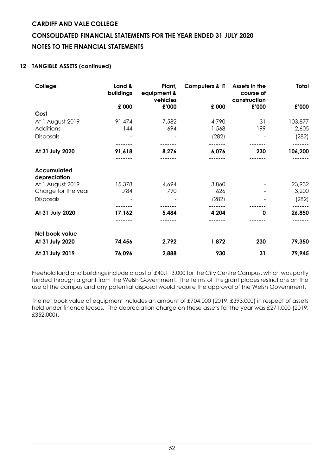### **CONSOLIDATED FINANCIAL STATEMENTS FOR THE YEAR ENDED 31 JULY 2020**

### **NOTES TO THE FINANCIAL STATEMENTS**

### **12 TANGIBLE ASSETS (continued)**

| College                     | Land &<br>buildings | Plant,<br>equipment &<br>vehicles | <b>Computers &amp; IT</b> | Assets in the<br>course of<br>construction | <b>Total</b> |
|-----------------------------|---------------------|-----------------------------------|---------------------------|--------------------------------------------|--------------|
|                             | £'000               | £'000                             | £'000                     | £'000                                      | £'000        |
| Cost                        |                     |                                   |                           |                                            |              |
| At 1 August 2019            | 91,474              | 7,582                             | 4,790                     | 31                                         | 103,877      |
| Additions                   | 144                 | 694                               | 1,568                     | 199                                        | 2,605        |
| <b>Disposals</b>            |                     |                                   | (282)                     |                                            | (282)        |
|                             |                     |                                   |                           |                                            |              |
| At 31 July 2020             | 91,618              | 8,276                             | 6,076                     | 230                                        | 106,200      |
|                             |                     |                                   |                           |                                            |              |
| Accumulated<br>depreciation |                     |                                   |                           |                                            |              |
| At 1 August 2019            | 15,378              | 4,694                             | 3,860                     |                                            | 23,932       |
| Charge for the year         | 1,784               | 790                               | 626                       |                                            | 3,200        |
| <b>Disposals</b>            |                     |                                   | (282)                     |                                            | (282)        |
|                             |                     |                                   |                           |                                            |              |
| At 31 July 2020             | 17,162              | 5,484                             | 4,204                     | 0                                          | 26,850       |
|                             |                     |                                   |                           |                                            |              |
| Net book value              |                     |                                   |                           |                                            |              |
| At 31 July 2020             | 74,456              | 2,792                             | 1,872                     | 230                                        | 79,350       |
| At 31 July 2019             | 76,096              | 2,888                             | 930                       | 31                                         | 79,945       |

Freehold land and buildings include a cost of £40,113,000 for the City Centre Campus, which was partly funded through a grant from the Welsh Government. The terms of this grant places restrictions on the use of the campus and any potential disposal would require the approval of the Welsh Government.

The net book value of equipment includes an amount of £704,000 (2019: £393,000) in respect of assets held under finance leases. The depreciation charge on these assets for the year was £271,000 (2019: £352,000).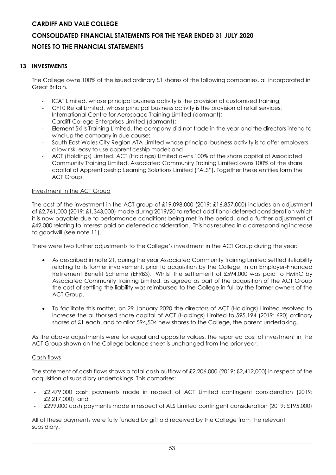### **CONSOLIDATED FINANCIAL STATEMENTS FOR THE YEAR ENDED 31 JULY 2020**

### **NOTES TO THE FINANCIAL STATEMENTS**

### **13 INVESTMENTS**

The College owns 100% of the issued ordinary £1 shares of the following companies, all incorporated in Great Britain.

- ICAT Limited, whose principal business activity is the provision of customised training;
- CF10 Retail Limited, whose principal business activity is the provision of retail services;
- International Centre for Aerospace Training Limited (dormant);
- Cardiff College Enterprises Limited (dormant);
- Element Skills Training Limited, the company did not trade in the year and the directors intend to wind up the company in due course;
- South East Wales City Region ATA Limited whose principal business activity is to offer employers a low risk, easy to use apprenticeship model; and
- ACT (Holdings) Limited. ACT (Holdings) Limited owns 100% of the share capital of Associated Community Training Limited. Associated Community Training Limited owns 100% of the share capital of Apprenticeship Learning Solutions Limited ("ALS"). Together these entities form the ACT Group.

### Investment in the ACT Group

The cost of the investment in the ACT group of £19,098,000 (2019: £16,857,000) includes an adjustment of £2,761,000 (2019: £1,343,000) made during 2019/20 to reflect additional deferred consideration which it is now payable due to performance conditions being met in the period, and a further adjustment of £42,000 relating to interest paid on deferred consideration. This has resulted in a corresponding increase to goodwill (see note 11).

There were two further adjustments to the College's investment in the ACT Group during the year:

- As described in note 21, during the year Associated Community Training Limited settled its liability relating to its former involvement, prior to acquisition by the College, in an Employer-Financed Retirement Benefit Scheme (EFRBS). Whilst the settlement of £594,000 was paid to HMRC by Associated Community Training Limited, as agreed as part of the acquisition of the ACT Group the cost of settling the liability was reimbursed to the College in full by the former owners of the ACT Group.
- To facilitate this matter, on 29 January 2020 the directors of ACT (Holdings) Limited resolved to increase the authorised share capital of ACT (Holdings) Limited to 595,194 (2019: 690) ordinary shares of £1 each, and to allot 594,504 new shares to the College, the parent undertaking.

As the above adjustments were for equal and opposite values, the reported cost of investment in the ACT Group shown on the College balance sheet is unchanged from the prior year.

### Cash flows

The statement of cash flows shows a total cash outflow of £2,206,000 (2019: £2,412,000) in respect of the acquisition of subsidiary undertakings. This comprises:

- £2,479,000 cash payments made in respect of ACT Limited contingent consideration (2019: £2,217,000); and
- £299,000 cash payments made in respect of ALS Limited contingent consideration (2019: £195,000)

All of these payments were fully funded by gift aid received by the College from the relevant subsidiary.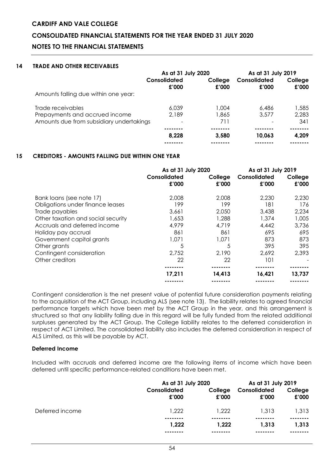### **CONSOLIDATED FINANCIAL STATEMENTS FOR THE YEAR ENDED 31 JULY 2020**

### **NOTES TO THE FINANCIAL STATEMENTS**

### **14 TRADE AND OTHER RECEIVABLES**

|                                          | As at 31 July 2020    |                  | As at 31 July 2019    |                  |
|------------------------------------------|-----------------------|------------------|-----------------------|------------------|
|                                          | Consolidated<br>£'000 | College<br>£'000 | Consolidated<br>£'000 | College<br>£'000 |
| Amounts falling due within one year:     |                       |                  |                       |                  |
| Trade receivables                        | 6.039                 | 1.004            | 6.486                 | 1,585            |
| Prepayments and accrued income           | 2.189                 | 1,865            | 3,577                 | 2,283            |
| Amounts due from subsidiary undertakings |                       | 711              |                       | 341              |
|                                          |                       |                  |                       |                  |
|                                          | 8,228                 | 3.580            | 10.063                | 4,209            |
|                                          |                       |                  |                       |                  |

### **15 CREDITORS - AMOUNTS FALLING DUE WITHIN ONE YEAR**

|                                    | As at 31 July 2020    |                  | As at 31 July 2019    |                  |
|------------------------------------|-----------------------|------------------|-----------------------|------------------|
|                                    | Consolidated<br>£'000 | College<br>£'000 | Consolidated<br>£'000 | College<br>£'000 |
| Bank loans (see note 17)           | 2,008                 | 2,008            | 2,230                 | 2,230            |
| Obligations under finance leases   | 199                   | 199              | 181                   | 176              |
| Trade payables                     | 3,661                 | 2,050            | 3,438                 | 2,234            |
| Other taxation and social security | 1,653                 | 1,288            | 1,374                 | 1,005            |
| Accruals and deferred income       | 4,979                 | 4,719            | 4,442                 | 3,736            |
| Holiday pay accrual                | 861                   | 861              | 695                   | 695              |
| Government capital grants          | 1,071                 | 1,071            | 873                   | 873              |
| Other grants                       | 5                     | 5                | 395                   | 395              |
| Contingent consideration           | 2,752                 | 2,190            | 2,692                 | 2,393            |
| Other creditors                    | 22                    | 22               | 101                   |                  |
|                                    |                       |                  |                       |                  |
|                                    | 17,211                | 14,413           | 16,421                | 13,737           |
|                                    |                       |                  |                       |                  |

Contingent consideration is the net present value of potential future consideration payments relating to the acquisition of the ACT Group, including ALS (see note 13). The liability relates to agreed financial performance targets which have been met by the ACT Group in the year, and this arrangement is structured so that any liability falling due in this regard will be fully funded from the related additional surpluses generated by the ACT Group. The College liability relates to the deferred consideration in respect of ACT Limited. The consolidated liability also includes the deferred consideration in respect of ALS Limited, as this will be payable by ACT.

### **Deferred Income**

Included with accruals and deferred income are the following items of income which have been deferred until specific performance-related conditions have been met.

|                 | As at 31 July 2020    |                   | As at 31 July 2019    |                  |
|-----------------|-----------------------|-------------------|-----------------------|------------------|
|                 | Consolidated<br>£'000 | College<br>£'000  | Consolidated<br>£'000 | College<br>£'000 |
| Deferred income | 1,222                 | 1,222             | 1,313                 | 1,313            |
|                 | --------<br>1,222     | --------<br>1.222 | 1.313                 | 1.313            |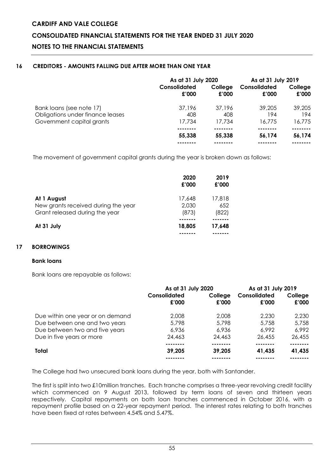### **16 CREDITORS - AMOUNTS FALLING DUE AFTER MORE THAN ONE YEAR**

|                                                              | As at 31 July 2020    |                  | As at 31 July 2019    |                  |
|--------------------------------------------------------------|-----------------------|------------------|-----------------------|------------------|
|                                                              | Consolidated<br>£'000 | College<br>£'000 | Consolidated<br>£'000 | College<br>£'000 |
| Bank loans (see note 17)<br>Obligations under finance leases | 37.196<br>408         | 37.196<br>408    | 39.205<br>194         | 39.205<br>194    |
| Government capital grants                                    | 17.734                | 17.734           | 16,775                | 16,775           |
|                                                              |                       |                  |                       |                  |
|                                                              | 55,338                | 55,338           | 56,174                | 56,174           |
|                                                              |                       |                  |                       |                  |

The movement of government capital grants during the year is broken down as follows:

|                                                                                      | 2020<br>£'000            | 2019<br>£'000          |
|--------------------------------------------------------------------------------------|--------------------------|------------------------|
| At 1 August<br>New grants received during the year<br>Grant released during the year | 17,648<br>2,030<br>(873) | 17,818<br>652<br>(822) |
| At 31 July                                                                           | 18,805                   | 17.648                 |

### **17 BORROWINGS**

### **Bank loans**

Bank loans are repayable as follows:

|                                  | As at 31 July 2020    |                  | As at 31 July 2019    |                  |
|----------------------------------|-----------------------|------------------|-----------------------|------------------|
|                                  | Consolidated<br>£'000 | College<br>£'000 | Consolidated<br>£'000 | College<br>£'000 |
| Due within one year or on demand | 2,008                 | 2,008            | 2,230                 | 2,230            |
| Due between one and two years    | 5,798                 | 5.798            | 5,758                 | 5,758            |
| Due between two and five years   | 6,936                 | 6,936            | 6.992                 | 6,992            |
| Due in five years or more        | 24,463                | 24,463           | 26,455                | 26,455           |
|                                  |                       |                  |                       | ------           |
| Total                            | 39,205                | 39,205           | 41,435                | 41,435           |
|                                  |                       |                  |                       |                  |

The College had two unsecured bank loans during the year, both with Santander.

The first is split into two £10million tranches. Each tranche comprises a three-year revolving credit facility which commenced on 9 August 2013, followed by term loans of seven and thirteen years respectively. Capital repayments on both loan tranches commenced in October 2016, with a repayment profile based on a 22-year repayment period. The interest rates relating to both tranches have been fixed at rates between 4.54% and 5.47%.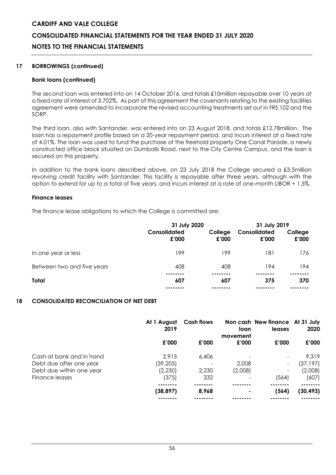### **17 BORROWINGS (continued)**

### **Bank loans (continued)**

The second loan was entered into on 14 October 2016, and totals £10million repayable over 10 years at a fixed rate of interest of 3.702%. As part of this agreement the covenants relating to the existing facilities agreement were amended to incorporate the revised accounting treatments set out in FRS 102 and the SORP.

The third loan, also with Santander, was entered into on 23 August 2018, and totals £12.78million. The loan has a repayment profile based on a 20-year repayment period, and incurs interest at a fixed rate of 4.01%. The loan was used to fund the purchase of the freehold property One Canal Parade, a newly constructed office block situated on Dumballs Road, next to the City Centre Campus, and the loan is secured on this property.

In addition to the bank loans described above, on 23 July 2018 the College secured a £3.5million revolving credit facility with Santander. This facility is repayable after three years, although with the option to extend for up to a total of five years, and incurs interest at a rate of one-month LIBOR + 1.5%.

### **Finance leases**

The finance lease obligations to which the College is committed are:

|                            | 31 July 2020          |                  | 31 July 2019          |                  |
|----------------------------|-----------------------|------------------|-----------------------|------------------|
|                            | Consolidated<br>£'000 | College<br>£'000 | Consolidated<br>£'000 | College<br>£'000 |
| In one year or less        | 199                   | 199              | 181                   | 176              |
| Between two and five years | 408                   | 408              | 194                   | 194              |
| Total                      | 607                   | 607              | 375                   | 370              |
|                            |                       |                  |                       |                  |

### **18 CONSOLIDATED RECONCILIATION OF NET DEBT**

|                          | At 1 August<br>2019 | <b>Cash flows</b> | loan<br>movement | Non cash New finance At 31 July<br>leases | 2020      |
|--------------------------|---------------------|-------------------|------------------|-------------------------------------------|-----------|
|                          | £'000               | £'000             | £'000            | £'000                                     | £'000     |
| Cash at bank and in hand | 2,913               | 6,406             |                  | $\overline{\phantom{a}}$                  | 9,319     |
| Debt due after one year  | (39, 205)           |                   | 2,008            | $\overline{\phantom{a}}$                  | (37, 197) |
| Debt due within one year | (2,230)             | 2,230             | (2,008)          | -                                         | (2,008)   |
| Finance leases           | (375)               | 332               |                  | (564)                                     | (607)     |
|                          | (38, 897)           | 8,968             | ٠                | (564)                                     | (30, 493) |
|                          |                     |                   |                  |                                           |           |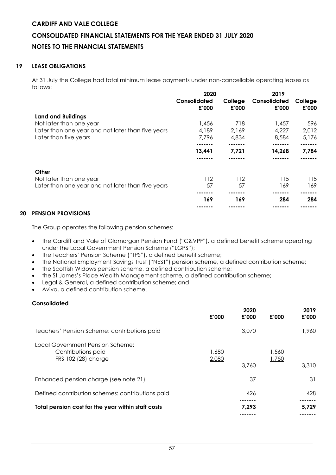### **CONSOLIDATED FINANCIAL STATEMENTS FOR THE YEAR ENDED 31 JULY 2020**

### **NOTES TO THE FINANCIAL STATEMENTS**

### **19 LEASE OBLIGATIONS**

At 31 July the College had total minimum lease payments under non-cancellable operating leases as follows:

|                                                   | 2020                  |                  | 2019                  |                  |  |
|---------------------------------------------------|-----------------------|------------------|-----------------------|------------------|--|
|                                                   | Consolidated<br>£'000 | College<br>£'000 | Consolidated<br>£'000 | College<br>£'000 |  |
| <b>Land and Buildings</b>                         |                       |                  |                       |                  |  |
| Not later than one year                           | 1,456                 | 718              | 1,457                 | 596              |  |
| Later than one year and not later than five years | 4,189                 | 2,169            | 4,227                 | 2,012            |  |
| Later than five years                             | 7,796                 | 4,834            | 8,584                 | 5,176            |  |
|                                                   |                       |                  |                       |                  |  |
|                                                   | 13,441                | 7.721            | 14,268                | 7,784            |  |
|                                                   |                       |                  |                       |                  |  |
| Other                                             |                       |                  |                       |                  |  |
| Not later than one year                           | 112                   | 112              | 115                   | 115              |  |
| Later than one year and not later than five years | 57                    | 57               | 169                   | 169              |  |
|                                                   |                       |                  |                       |                  |  |
|                                                   | 169                   | 169              | 284                   | 284              |  |
|                                                   |                       |                  |                       |                  |  |

### **20 PENSION PROVISIONS**

The Group operates the following pension schemes:

- the Cardiff and Vale of Glamorgan Pension Fund ("C&VPF"), a defined benefit scheme operating under the Local Government Pension Scheme ("LGPS");
- the Teachers' Pension Scheme ("TPS"), a defined benefit scheme;
- the National Employment Savings Trust ("NEST") pension scheme, a defined contribution scheme;
- the Scottish Widows pension scheme, a defined contribution scheme;
- the St James's Place Wealth Management scheme, a defined contribution scheme;
- Legal & General, a defined contribution scheme; and
- Aviva, a defined contribution scheme.

### **Consolidated**

|                                                                               | £'000          | 2020<br>£'000 | £'000          | 2019<br>£'000 |
|-------------------------------------------------------------------------------|----------------|---------------|----------------|---------------|
| Teachers' Pension Scheme: contributions paid                                  |                | 3,070         |                | 1,960         |
| Local Government Pension Scheme:<br>Contributions paid<br>FRS 102 (28) charge | 1,680<br>2,080 | 3,760         | 1,560<br>1,750 | 3,310         |
| Enhanced pension charge (see note 21)                                         |                | 37            |                | 31            |
| Defined contribution schemes: contributions paid                              |                | 426           |                | 428           |
| Total pension cost for the year within staff costs                            |                | 7,293         |                | 5,729         |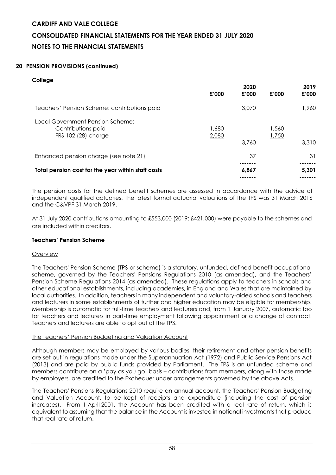### **CONSOLIDATED FINANCIAL STATEMENTS FOR THE YEAR ENDED 31 JULY 2020**

### **NOTES TO THE FINANCIAL STATEMENTS**

### **20 PENSION PROVISIONS (continued)**

### **College**

|                                                                               | £'000          | 2020<br>£'000 | £'000          | 2019<br>£'000 |
|-------------------------------------------------------------------------------|----------------|---------------|----------------|---------------|
| Teachers' Pension Scheme: contributions paid                                  |                | 3,070         |                | 1,960         |
| Local Government Pension Scheme:<br>Contributions paid<br>FRS 102 (28) charge | 1,680<br>2,080 | 3,760         | 1,560<br>1,750 | 3,310         |
| Enhanced pension charge (see note 21)                                         |                | 37            |                | 31            |
| Total pension cost for the year within staff costs                            |                | 6,867         |                | 5,301         |

The pension costs for the defined benefit schemes are assessed in accordance with the advice of independent qualified actuaries. The latest formal actuarial valuations of the TPS was 31 March 2016 and the C&VPF 31 March 2019.

At 31 July 2020 contributions amounting to £553,000 (2019: £421,000) were payable to the schemes and are included within creditors.

### **Teachers' Pension Scheme**

### Overview

The Teachers' Pension Scheme (TPS or scheme) is a statutory, unfunded, defined benefit occupational scheme, governed by the Teachers' Pensions Regulations 2010 (as amended), and the Teachers' Pension Scheme Regulations 2014 (as amended). These regulations apply to teachers in schools and other educational establishments, including academies, in England and Wales that are maintained by local authorities. In addition, teachers in many independent and voluntary-aided schools and teachers and lecturers in some establishments of further and higher education may be eligible for membership. Membership is automatic for full-time teachers and lecturers and, from 1 January 2007, automatic too for teachers and lecturers in part-time employment following appointment or a change of contract. Teachers and lecturers are able to opt out of the TPS.

### The Teachers' Pension Budgeting and Valuation Account

Although members may be employed by various bodies, their retirement and other pension benefits are set out in regulations made under the Superannuation Act (1972) and Public Service Pensions Act (2013) and are paid by public funds provided by Parliament. The TPS is an unfunded scheme and members contribute on a 'pay as you go' basis – contributions from members, along with those made by employers, are credited to the Exchequer under arrangements governed by the above Acts.

The Teachers' Pensions Regulations 2010 require an annual account, the Teachers' Pension Budgeting and Valuation Account, to be kept of receipts and expenditure (including the cost of pension increases). From 1 April 2001, the Account has been credited with a real rate of return, which is equivalent to assuming that the balance in the Account is invested in notional investments that produce that real rate of return.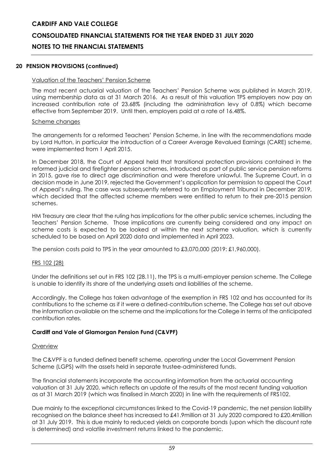### **CONSOLIDATED FINANCIAL STATEMENTS FOR THE YEAR ENDED 31 JULY 2020**

### **NOTES TO THE FINANCIAL STATEMENTS**

### **20 PENSION PROVISIONS (continued)**

### Valuation of the Teachers' Pension Scheme

The most recent actuarial valuation of the Teachers' Pension Scheme was published in March 2019, using membership data as at 31 March 2016. As a result of this valuation TPS employers now pay an increased contribution rate of 23.68% (including the administration levy of 0.8%) which became effective from September 2019. Until then, employers paid at a rate of 16.48%.

### Scheme changes

The arrangements for a reformed Teachers' Pension Scheme, in line with the recommendations made by Lord Hutton, in particular the introduction of a Career Average Revalued Earnings (CARE) scheme, were implemented from 1 April 2015.

In December 2018, the Court of Appeal held that transitional protection provisions contained in the reformed judicial and firefighter pension schemes, introduced as part of public service pension reforms in 2015, gave rise to direct age discrimination and were therefore unlawful. The Supreme Court, in a decision made in June 2019, rejected the Government's application for permission to appeal the Court of Appeal's ruling. The case was subsequently referred to an Employment Tribunal in December 2019, which decided that the affected scheme members were entitled to return to their pre-2015 pension schemes.

HM Treasury are clear that the ruling has implications for the other public service schemes, including the Teachers' Pension Scheme. Those implications are currently being considered and any impact on scheme costs is expected to be looked at within the next scheme valuation, which is currently scheduled to be based on April 2020 data and implemented in April 2023.

The pension costs paid to TPS in the year amounted to £3,070,000 (2019: £1,960,000).

### FRS 102 (28)

Under the definitions set out in FRS 102 (28.11), the TPS is a multi-employer pension scheme. The College is unable to identify its share of the underlying assets and liabilities of the scheme.

Accordingly, the College has taken advantage of the exemption in FRS 102 and has accounted for its contributions to the scheme as if it were a defined-contribution scheme. The College has set out above the information available on the scheme and the implications for the College in terms of the anticipated contribution rates.

### **Cardiff and Vale of Glamorgan Pension Fund (C&VPF)**

### **Overview**

The C&VPF is a funded defined benefit scheme, operating under the Local Government Pension Scheme (LGPS) with the assets held in separate trustee-administered funds.

The financial statements incorporate the accounting information from the actuarial accounting valuation at 31 July 2020, which reflects an update of the results of the most recent funding valuation as at 31 March 2019 (which was finalised in March 2020) in line with the requirements of FRS102.

Due mainly to the exceptional circumstances linked to the Covid-19 pandemic, the net pension liability recognised on the balance sheet has increased to £41.9million at 31 July 2020 compared to £20.4million at 31 July 2019. This is due mainly to reduced yields on corporate bonds (upon which the discount rate is determined) and volatile investment returns linked to the pandemic.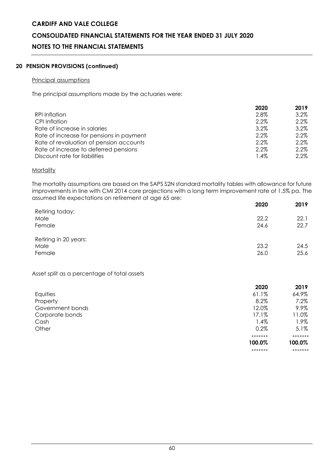### **CONSOLIDATED FINANCIAL STATEMENTS FOR THE YEAR ENDED 31 JULY 2020**

### **NOTES TO THE FINANCIAL STATEMENTS**

### **20 PENSION PROVISIONS (continued)**

### Principal assumptions

The principal assumptions made by the actuaries were:

|                                          | 2020 | 2019    |
|------------------------------------------|------|---------|
| <b>RPI Inflation</b>                     | 2.8% | $3.2\%$ |
| CPI Inflation                            | 2.2% | $2.2\%$ |
| Rate of increase in salaries             | 3.2% | $3.2\%$ |
| Rate of increase for pensions in payment | 2.2% | $2.2\%$ |
| Rate of revaluation of pension accounts  | 2.2% | 2.2%    |
| Rate of increase to deferred pensions    | 2.2% | $2.2\%$ |
| Discount rate for liabilities            | 1.4% | 2.2%    |

### **Mortality**

The mortality assumptions are based on the SAPS S2N standard mortality tables with allowance for future improvements in line with CMI 2014 core projections with a long term improvement rate of 1.5% pa. The assumed life expectations on retirement at age 65 are:

| assormo ano oxpositanons ornomornom ar ago so aro <b>.</b> | 2020 | 2019 |
|------------------------------------------------------------|------|------|
| Retiring today:                                            |      |      |
| Male                                                       | 22.2 | 22.1 |
| Female                                                     | 24.6 | 22.7 |
| Retiring in 20 years:                                      |      |      |
| Male                                                       | 23.2 | 24.5 |
| Female                                                     | 26.0 | 25.6 |
|                                                            |      |      |

### Asset split as a percentage of total assets

|                  | 2020   | 2019    |
|------------------|--------|---------|
| Equities         | 61.1%  | 64.9%   |
| Property         | 8.2%   | 7.2%    |
| Government bonds | 12.0%  | 9.9%    |
| Corporate bonds  | 17.1%  | 11.0%   |
| Cash             | 1.4%   | 1.9%    |
| Other            | 0.2%   | $5.1\%$ |
|                  |        |         |
|                  | 100.0% | 100.0%  |
|                  |        |         |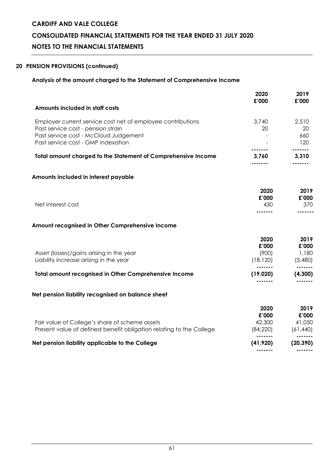### **CONSOLIDATED FINANCIAL STATEMENTS FOR THE YEAR ENDED 31 JULY 2020**

### **NOTES TO THE FINANCIAL STATEMENTS**

### **20 PENSION PROVISIONS (continued)**

### **Analysis of the amount charged to the Statement of Comprehensive Income**

|                                                                                                                       | 2020<br>£'000                       | 2019<br>£'000                     |
|-----------------------------------------------------------------------------------------------------------------------|-------------------------------------|-----------------------------------|
| Amounts included in staff costs                                                                                       |                                     |                                   |
| Employer current service cost net of employee contributions<br>Past service cost - pension strain                     | 3,740<br>20                         | 2,510<br>20                       |
| Past service cost - McCloud Judgement<br>Past service cost - GMP indexation                                           |                                     | 660<br>120                        |
| <b>Total amount charged to the Statement of Comprehensive Income</b>                                                  | 3,760                               | 3,310                             |
| Amounts included in interest payable                                                                                  |                                     |                                   |
|                                                                                                                       | 2020<br>£'000                       | 2019<br>£'000                     |
| Net interest cost                                                                                                     | 430                                 | 370                               |
| Amount recognised in Other Comprehensive Income                                                                       |                                     |                                   |
| Asset (losses)/gains arising in the year<br>Liability increase arising in the year                                    | 2020<br>£'000<br>(900)<br>(18, 120) | 2019<br>£'000<br>1,180<br>(5,480) |
| Total amount recognised in Other Comprehensive Income                                                                 | (19,020)                            | (4,300)                           |
|                                                                                                                       |                                     |                                   |
| Net pension liability recognised on balance sheet                                                                     |                                     |                                   |
|                                                                                                                       | 2020<br>£'000                       | 2019<br>£'000                     |
| Fair value of College's share of scheme assets<br>Present value of defined benefit obligation relating to the College | 42,300<br>(84, 220)                 | 41,050<br>(61, 440)               |
| that are a set of a threat MML and a constitution to the company of the                                               | $\overline{111}$ $0.001$            | (0.0000)                          |

**------- -------**

### **Net pension liability applicable to the College (41,920) (20,390)**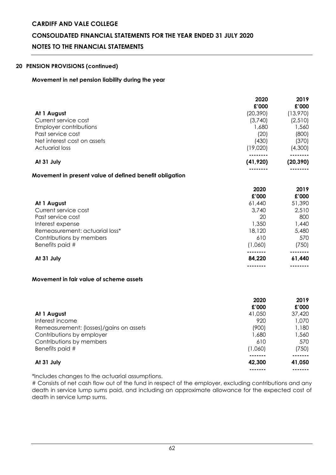### **CONSOLIDATED FINANCIAL STATEMENTS FOR THE YEAR ENDED 31 JULY 2020**

### **NOTES TO THE FINANCIAL STATEMENTS**

### **20 PENSION PROVISIONS (continued)**

### **Movement in net pension liability during the year**

|                                                         | 2020<br>£'000 | 2019<br>£'000 |
|---------------------------------------------------------|---------------|---------------|
| At 1 August                                             | (20, 390)     | (13,970)      |
| Current service cost                                    | (3,740)       | (2,510)       |
| <b>Employer contributions</b>                           | 1,680         | 1,560         |
| Past service cost                                       | (20)          | (800)         |
| Net interest cost on assets                             | (430)         | (370)         |
| <b>Actuarial loss</b>                                   | (19,020)      | (4,300)       |
|                                                         |               |               |
| At 31 July                                              | (41, 920)     | (20, 390)     |
| Movement in present value of defined benefit obligation |               |               |
|                                                         | 2020          | 2019          |
|                                                         | £'000         | £'000         |
| At 1 August                                             | 61,440        | 51,390        |
| Current service cost                                    | 3,740         | 2,510         |
| Past service cost                                       | 20            | 800           |
| Interest expense                                        | 1,350         | 1,440         |
| Remeasurement: actuarial loss*                          | 18,120        | 5,480         |
| Contributions by members                                | 610           | 570           |
| Benefits paid #                                         | (1,060)       | (750)         |
| At 31 July                                              | 84,220        | 61,440        |

### **Movement in fair value of scheme assets**

|                                         | 2020    | 2019   |
|-----------------------------------------|---------|--------|
|                                         | £'000   | £'000  |
| At 1 August                             | 41,050  | 37,420 |
| Interest income                         | 920     | 1,070  |
| Remeasurement: (losses)/gains on assets | (900)   | 1,180  |
| Contributions by employer               | 1,680   | 1,560  |
| Contributions by members                | 610     | 570    |
| Benefits paid #                         | (1,060) | (750)  |
|                                         |         |        |
| At 31 July                              | 42,300  | 41,050 |
|                                         |         | ------ |

**-------- --------**

\*Includes changes to the actuarial assumptions.

# Consists of net cash flow out of the fund in respect of the employer, excluding contributions and any death in service lump sums paid, and including an approximate allowance for the expected cost of death in service lump sums.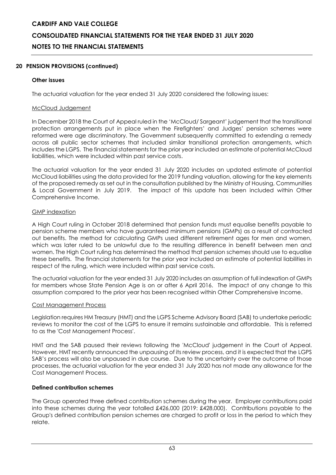### **20 PENSION PROVISIONS (continued)**

### **Other issues**

The actuarial valuation for the year ended 31 July 2020 considered the following issues:

### McCloud Judgement

In December 2018 the Court of Appeal ruled in the 'McCloud/ Sargeant' judgement that the transitional protection arrangements put in place when the Firefighters' and Judges' pension schemes were reformed were age discriminatory. The Government subsequently committed to extending a remedy across all public sector schemes that included similar transitional protection arrangements, which includes the LGPS. The financial statements for the prior year included an estimate of potential McCloud liabilities, which were included within past service costs.

The actuarial valuation for the year ended 31 July 2020 includes an updated estimate of potential McCloud liabilities using the data provided for the 2019 funding valuation, allowing for the key elements of the proposed remedy as set out in the consultation published by th[e Ministry of Housing, Communities](https://www.gov.uk/government/organisations/ministry-of-housing-communities-and-local-government)  [& Local Government in July 2019. The impact of this update has been included](https://www.gov.uk/government/organisations/ministry-of-housing-communities-and-local-government) within Other [Comprehensive Income.](https://www.gov.uk/government/organisations/ministry-of-housing-communities-and-local-government) 

### GMP indexation

A High Court ruling in October 2018 determined that pension funds must equalise benefits payable to pension scheme members who have guaranteed minimum pensions (GMPs) as a result of contracted out benefits. The method for calculating GMPs used different retirement ages for men and women, which was later ruled to be unlawful due to the resulting difference in benefit between men and women. The High Court ruling has determined the method that pension schemes should use to equalise these benefits. The financial statements for the prior year included an estimate of potential liabilities in respect of the ruling, which were included within past service costs.

The actuarial valuation for the year ended 31 July 2020 includes an assumption of full indexation of GMPs for members whose State Pension Age is on or after 6 April 2016. The impact of any change to this assumption compared to the prior year has been recognised within Other Comprehensive Income.

### Cost Management Process

Legislation requires HM Treasury (HMT) and the LGPS Scheme Advisory Board (SAB) to undertake periodic reviews to monitor the cost of the LGPS to ensure it remains sustainable and affordable. This is referred to as the 'Cost Management Process'.

HMT and the SAB paused their reviews following the 'McCloud' judgement in the Court of Appeal. However, HMT recently announced the unpausing of its review process, and it is expected that the LGPS SAB's process will also be unpaused in due course. Due to the uncertainty over the outcome of those processes, the actuarial valuation for the year ended 31 July 2020 has not made any allowance for the Cost Management Process.

### **Defined contribution schemes**

The Group operated three defined contribution schemes during the year. Employer contributions paid into these schemes during the year totalled £426,000 (2019: £428,000). Contributions payable to the Group's defined contribution pension schemes are charged to profit or loss in the period to which they relate.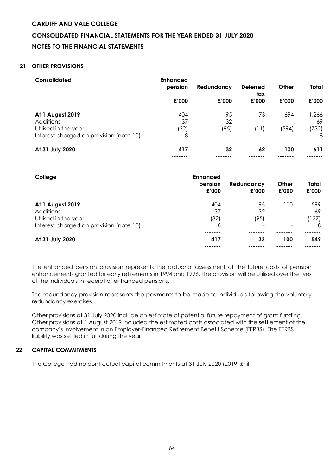### **CONSOLIDATED FINANCIAL STATEMENTS FOR THE YEAR ENDED 31 JULY 2020**

### **NOTES TO THE FINANCIAL STATEMENTS**

### **21 OTHER PROVISIONS**

| Consolidated                            | <b>Enhanced</b><br>pension | Redundancy               | <b>Deferred</b><br>tax | Other | <b>Total</b> |
|-----------------------------------------|----------------------------|--------------------------|------------------------|-------|--------------|
|                                         | £'000                      | £'000                    | £'000                  | £'000 | £'000        |
| At 1 August 2019                        | 404                        | 95                       | 73                     | 694   | 1,266        |
| <b>Additions</b>                        | 37                         | 32                       | ۰                      |       | 69           |
| Utilised in the year                    | (32)                       | (95)                     | (11)                   | (594) | (732)        |
| Interest charged on provision (note 10) | 8                          | $\overline{\phantom{0}}$ |                        |       | 8            |
|                                         | .                          |                          |                        |       |              |
| At 31 July 2020                         | 417                        | 32                       | 62                     | 100   | 611          |
|                                         |                            |                          |                        |       |              |

| College                                 | <b>Enhanced</b><br>pension<br>£'000 | Redundancy<br>£'000 | Other<br>£'000           | Total<br>£'000 |
|-----------------------------------------|-------------------------------------|---------------------|--------------------------|----------------|
| At 1 August 2019                        | 404                                 | 95                  | 100                      | 599            |
| Additions                               | 37                                  | 32                  | $\overline{\phantom{a}}$ | 69             |
| Utilised in the year                    | (32)                                | (95)                | $\overline{\phantom{a}}$ | (127)          |
| Interest charged on provision (note 10) | 8                                   |                     |                          | 8              |
|                                         |                                     |                     |                          |                |
| At 31 July 2020                         | 417                                 | 32                  | 100                      | 549            |
|                                         |                                     |                     |                          |                |

The enhanced pension provision represents the actuarial assessment of the future costs of pension enhancements granted for early retirements in 1994 and 1996. The provision will be utilised over the lives of the individuals in receipt of enhanced pensions.

The redundancy provision represents the payments to be made to individuals following the voluntary redundancy exercises.

Other provisions at 31 July 2020 include an estimate of potential future repayment of grant funding. Other provisions at 1 August 2019 included the estimated costs associated with the settlement of the company's involvement in an Employer-Financed Retirement Benefit Scheme (EFRBS). The EFRBS liability was settled in full during the year

### **22 CAPITAL COMMITMENTS**

The College had no contractual capital commitments at 31 July 2020 (2019: £nil).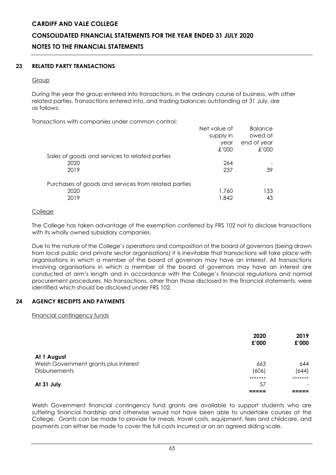### **CONSOLIDATED FINANCIAL STATEMENTS FOR THE YEAR ENDED 31 JULY 2020**

### **NOTES TO THE FINANCIAL STATEMENTS**

### **23 RELATED PARTY TRANSACTIONS**

### **Group**

During the year the group entered into transactions, in the ordinary course of business, with other related parties. Transactions entered into, and trading balances outstanding at 31 July, are as follows:

Transactions with companies under common control:

|                                                      | Net value of<br>supply in | <b>Balance</b><br>owed at |
|------------------------------------------------------|---------------------------|---------------------------|
|                                                      | year                      | end of year               |
|                                                      | £'000                     | £'000                     |
| Sales of goods and services to related parties       |                           |                           |
| 2020                                                 | 264                       |                           |
| 2019                                                 | 237                       | 39                        |
| Purchases of goods and services from related parties |                           |                           |
| 2020                                                 | 1,760                     | 133                       |
| 2019                                                 | 1,842                     | 43                        |

### **College**

The College has taken advantage of the exemption conferred by FRS 102 not to disclose transactions with its wholly owned subsidiary companies.

Due to the nature of the College's operations and composition of the board of governors (being drawn from local public and private sector organisations) it is inevitable that transactions will take place with organisations in which a member of the board of governors may have an interest. All transactions involving organisations in which a member of the board of governors may have an interest are conducted at arm's length and in accordance with the College's financial regulations and normal procurement procedures. No transactions, other than those disclosed in the financial statements, were identified which should be disclosed under FRS 102.

### **24 AGENCY RECEIPTS AND PAYMENTS**

Financial contingency funds

|                                       | 2020<br>£'000 | 2019<br>£'000 |
|---------------------------------------|---------------|---------------|
| At 1 August                           |               |               |
| Welsh Government grants plus interest | 663           | 644           |
| <b>Disbursements</b>                  | (606)         | (644)         |
|                                       |               |               |
| At 31 July                            | 57            |               |
|                                       |               |               |

Welsh Government financial contingency fund grants are available to support students who are suffering financial hardship and otherwise would not have been able to undertake courses at the College. Grants can be made to provide for meals, travel costs, equipment, fees and childcare, and payments can either be made to cover the full costs incurred or on an agreed sliding scale.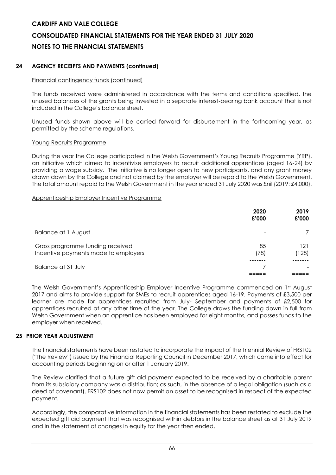### **CONSOLIDATED FINANCIAL STATEMENTS FOR THE YEAR ENDED 31 JULY 2020**

### **NOTES TO THE FINANCIAL STATEMENTS**

### **24 AGENCY RECEIPTS AND PAYMENTS (continued)**

### Financial contingency funds (continued)

The funds received were administered in accordance with the terms and conditions specified, the unused balances of the grants being invested in a separate interest-bearing bank account that is not included in the College's balance sheet.

Unused funds shown above will be carried forward for disbursement in the forthcoming year, as permitted by the scheme regulations.

### Young Recruits Programme

During the year the College participated in the Welsh Government's Young Recruits Programme (YRP), an initiative which aimed to incentivise employers to recruit additional apprentices (aged 16-24) by providing a wage subsidy. The initiative is no longer open to new participants, and any grant money drawn down by the College and not claimed by the employer will be repaid to the Welsh Government. The total amount repaid to the Welsh Government in the year ended 31 July 2020 was £nil (2019: £4,000).

#### Apprenticeship Employer Incentive Programme

|                                                                          | 2020<br>£'000 | 2019<br>£'000 |
|--------------------------------------------------------------------------|---------------|---------------|
| Balance at 1 August                                                      |               |               |
| Gross programme funding received<br>Incentive payments made to employers | 85<br>(78)    | 121<br>(128)  |
| Balance at 31 July                                                       |               |               |

The Welsh Government's Apprenticeship Employer Incentive Programme commenced on 1st August 2017 and aims to provide support for SMEs to recruit apprentices aged 16-19. Payments of £3,500 per learner are made for apprentices recruited from July- September and payments of £2,500 for apprentices recruited at any other time of the year. The College draws the funding down in full from Welsh Government when an apprentice has been employed for eight months, and passes funds to the employer when received.

### **25 PRIOR YEAR ADJUSTMENT**

The financial statements have been restated to incorporate the impact of the Triennial Review of FRS102 ("the Review") issued by the Financial Reporting Council in December 2017, which came into effect for accounting periods beginning on or after 1 January 2019.

The Review clarified that a future gift aid payment expected to be received by a charitable parent from its subsidiary company was a distribution; as such, in the absence of a legal obligation (such as a deed of covenant), FRS102 does not now permit an asset to be recognised in respect of the expected payment.

Accordingly, the comparative information in the financial statements has been restated to exclude the expected gift aid payment that was recognised within debtors in the balance sheet as at 31 July 2019 and in the statement of changes in equity for the year then ended.